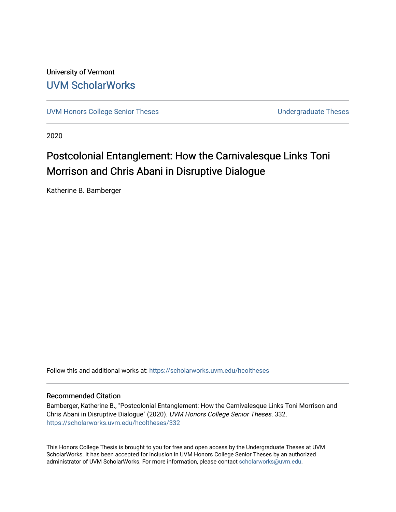University of Vermont [UVM ScholarWorks](https://scholarworks.uvm.edu/)

[UVM Honors College Senior Theses](https://scholarworks.uvm.edu/hcoltheses) **Exercise Sension College Senior Theses** Undergraduate Theses

2020

# Postcolonial Entanglement: How the Carnivalesque Links Toni Morrison and Chris Abani in Disruptive Dialogue

Katherine B. Bamberger

Follow this and additional works at: [https://scholarworks.uvm.edu/hcoltheses](https://scholarworks.uvm.edu/hcoltheses?utm_source=scholarworks.uvm.edu%2Fhcoltheses%2F332&utm_medium=PDF&utm_campaign=PDFCoverPages) 

#### Recommended Citation

Bamberger, Katherine B., "Postcolonial Entanglement: How the Carnivalesque Links Toni Morrison and Chris Abani in Disruptive Dialogue" (2020). UVM Honors College Senior Theses. 332. [https://scholarworks.uvm.edu/hcoltheses/332](https://scholarworks.uvm.edu/hcoltheses/332?utm_source=scholarworks.uvm.edu%2Fhcoltheses%2F332&utm_medium=PDF&utm_campaign=PDFCoverPages) 

This Honors College Thesis is brought to you for free and open access by the Undergraduate Theses at UVM ScholarWorks. It has been accepted for inclusion in UVM Honors College Senior Theses by an authorized administrator of UVM ScholarWorks. For more information, please contact [scholarworks@uvm.edu](mailto:scholarworks@uvm.edu).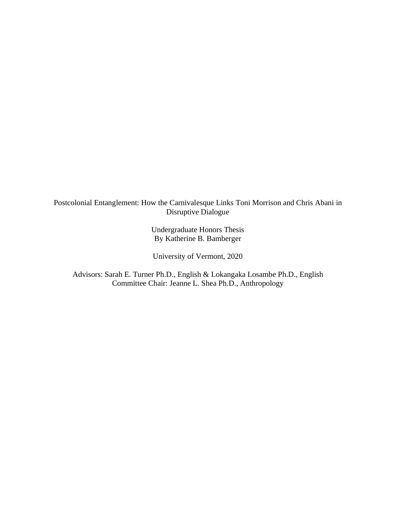Postcolonial Entanglement: How the Carnivalesque Links Toni Morrison and Chris Abani in Disruptive Dialogue

> Undergraduate Honors Thesis By Katherine B. Bamberger

University of Vermont, 2020

Advisors: Sarah E. Turner Ph.D., English & Lokangaka Losambe Ph.D., English Committee Chair: Jeanne L. Shea Ph.D., Anthropology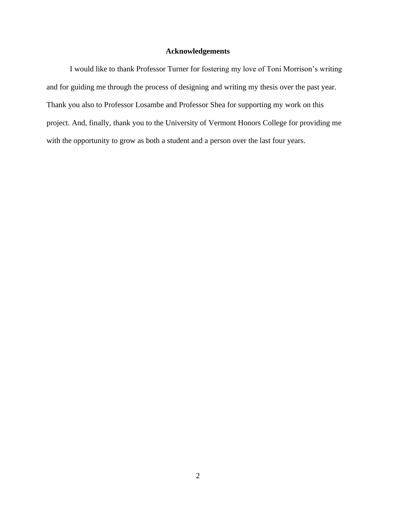# **Acknowledgements**

I would like to thank Professor Turner for fostering my love of Toni Morrison's writing and for guiding me through the process of designing and writing my thesis over the past year. Thank you also to Professor Losambe and Professor Shea for supporting my work on this project. And, finally, thank you to the University of Vermont Honors College for providing me with the opportunity to grow as both a student and a person over the last four years.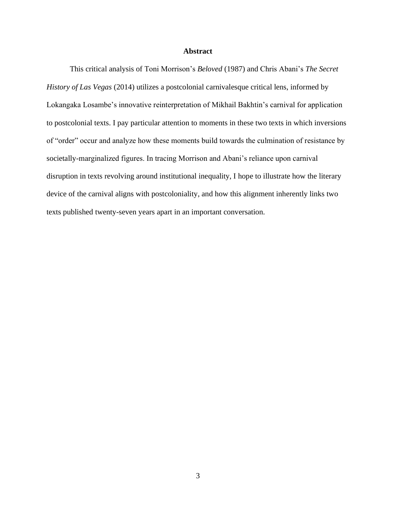### **Abstract**

This critical analysis of Toni Morrison's *Beloved* (1987) and Chris Abani's *The Secret History of Las Vegas* (2014) utilizes a postcolonial carnivalesque critical lens, informed by Lokangaka Losambe's innovative reinterpretation of Mikhail Bakhtin's carnival for application to postcolonial texts. I pay particular attention to moments in these two texts in which inversions of "order" occur and analyze how these moments build towards the culmination of resistance by societally-marginalized figures. In tracing Morrison and Abani's reliance upon carnival disruption in texts revolving around institutional inequality, I hope to illustrate how the literary device of the carnival aligns with postcoloniality, and how this alignment inherently links two texts published twenty-seven years apart in an important conversation.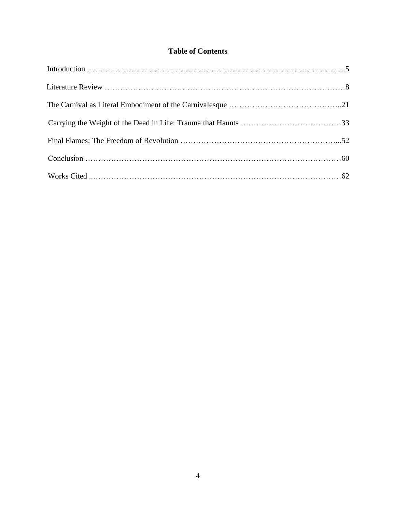# **Table of Contents**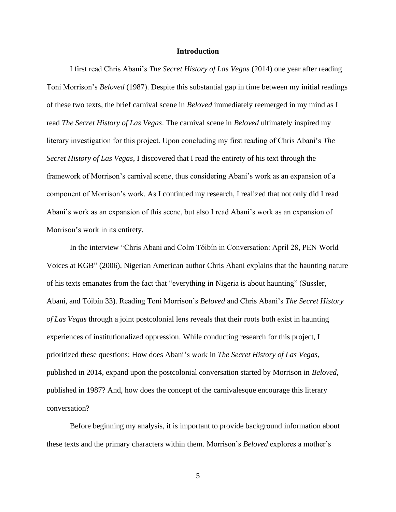#### **Introduction**

I first read Chris Abani's *The Secret History of Las Vegas* (2014) one year after reading Toni Morrison's *Beloved* (1987). Despite this substantial gap in time between my initial readings of these two texts, the brief carnival scene in *Beloved* immediately reemerged in my mind as I read *The Secret History of Las Vegas*. The carnival scene in *Beloved* ultimately inspired my literary investigation for this project. Upon concluding my first reading of Chris Abani's *The Secret History of Las Vegas*, I discovered that I read the entirety of his text through the framework of Morrison's carnival scene, thus considering Abani's work as an expansion of a component of Morrison's work. As I continued my research, I realized that not only did I read Abani's work as an expansion of this scene, but also I read Abani's work as an expansion of Morrison's work in its entirety.

In the interview "Chris Abani and Colm Tóibín in Conversation: April 28, PEN World Voices at KGB" (2006), Nigerian American author Chris Abani explains that the haunting nature of his texts emanates from the fact that "everything in Nigeria is about haunting" (Sussler, Abani, and Tóibín 33). Reading Toni Morrison's *Beloved* and Chris Abani's *The Secret History of Las Vegas* through a joint postcolonial lens reveals that their roots both exist in haunting experiences of institutionalized oppression. While conducting research for this project, I prioritized these questions: How does Abani's work in *The Secret History of Las Vegas*, published in 2014, expand upon the postcolonial conversation started by Morrison in *Beloved*, published in 1987? And, how does the concept of the carnivalesque encourage this literary conversation?

Before beginning my analysis, it is important to provide background information about these texts and the primary characters within them. Morrison's *Beloved* explores a mother's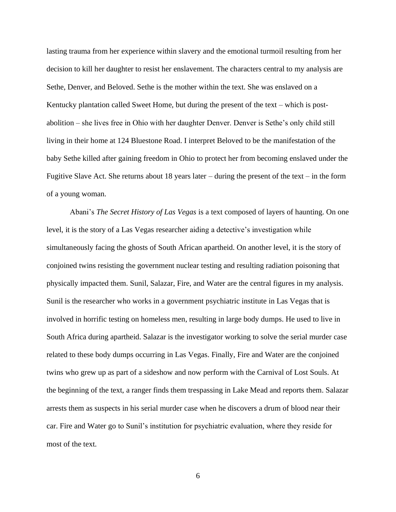lasting trauma from her experience within slavery and the emotional turmoil resulting from her decision to kill her daughter to resist her enslavement. The characters central to my analysis are Sethe, Denver, and Beloved. Sethe is the mother within the text. She was enslaved on a Kentucky plantation called Sweet Home, but during the present of the text – which is postabolition – she lives free in Ohio with her daughter Denver. Denver is Sethe's only child still living in their home at 124 Bluestone Road. I interpret Beloved to be the manifestation of the baby Sethe killed after gaining freedom in Ohio to protect her from becoming enslaved under the Fugitive Slave Act. She returns about 18 years later – during the present of the text – in the form of a young woman.

Abani's *The Secret History of Las Vegas* is a text composed of layers of haunting. On one level, it is the story of a Las Vegas researcher aiding a detective's investigation while simultaneously facing the ghosts of South African apartheid. On another level, it is the story of conjoined twins resisting the government nuclear testing and resulting radiation poisoning that physically impacted them. Sunil, Salazar, Fire, and Water are the central figures in my analysis. Sunil is the researcher who works in a government psychiatric institute in Las Vegas that is involved in horrific testing on homeless men, resulting in large body dumps. He used to live in South Africa during apartheid. Salazar is the investigator working to solve the serial murder case related to these body dumps occurring in Las Vegas. Finally, Fire and Water are the conjoined twins who grew up as part of a sideshow and now perform with the Carnival of Lost Souls. At the beginning of the text, a ranger finds them trespassing in Lake Mead and reports them. Salazar arrests them as suspects in his serial murder case when he discovers a drum of blood near their car. Fire and Water go to Sunil's institution for psychiatric evaluation, where they reside for most of the text.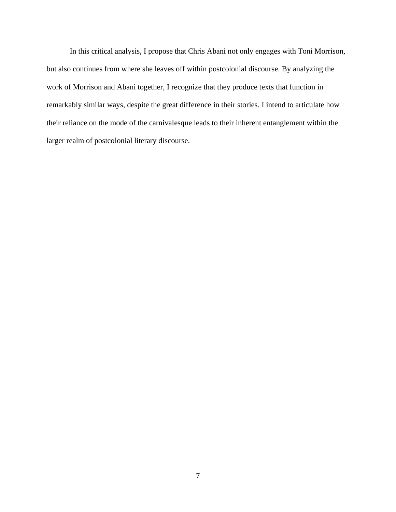In this critical analysis, I propose that Chris Abani not only engages with Toni Morrison, but also continues from where she leaves off within postcolonial discourse. By analyzing the work of Morrison and Abani together, I recognize that they produce texts that function in remarkably similar ways, despite the great difference in their stories. I intend to articulate how their reliance on the mode of the carnivalesque leads to their inherent entanglement within the larger realm of postcolonial literary discourse.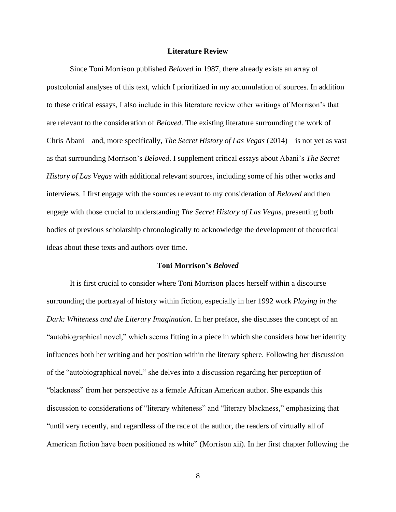#### **Literature Review**

Since Toni Morrison published *Beloved* in 1987, there already exists an array of postcolonial analyses of this text, which I prioritized in my accumulation of sources. In addition to these critical essays, I also include in this literature review other writings of Morrison's that are relevant to the consideration of *Beloved*. The existing literature surrounding the work of Chris Abani – and, more specifically, *The Secret History of Las Vegas* (2014) – is not yet as vast as that surrounding Morrison's *Beloved*. I supplement critical essays about Abani's *The Secret History of Las Vegas* with additional relevant sources, including some of his other works and interviews. I first engage with the sources relevant to my consideration of *Beloved* and then engage with those crucial to understanding *The Secret History of Las Vegas*, presenting both bodies of previous scholarship chronologically to acknowledge the development of theoretical ideas about these texts and authors over time.

#### **Toni Morrison's** *Beloved*

It is first crucial to consider where Toni Morrison places herself within a discourse surrounding the portrayal of history within fiction, especially in her 1992 work *Playing in the Dark: Whiteness and the Literary Imagination*. In her preface, she discusses the concept of an "autobiographical novel," which seems fitting in a piece in which she considers how her identity influences both her writing and her position within the literary sphere. Following her discussion of the "autobiographical novel," she delves into a discussion regarding her perception of "blackness" from her perspective as a female African American author. She expands this discussion to considerations of "literary whiteness" and "literary blackness," emphasizing that "until very recently, and regardless of the race of the author, the readers of virtually all of American fiction have been positioned as white" (Morrison xii). In her first chapter following the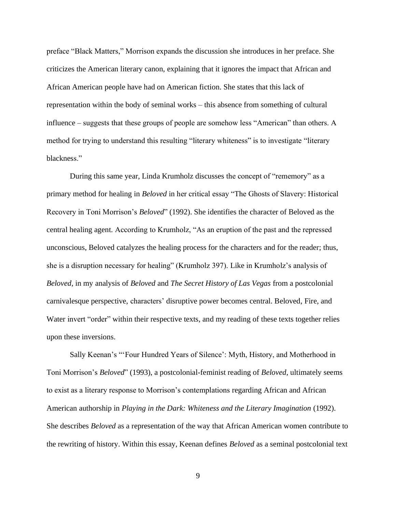preface "Black Matters," Morrison expands the discussion she introduces in her preface. She criticizes the American literary canon, explaining that it ignores the impact that African and African American people have had on American fiction. She states that this lack of representation within the body of seminal works – this absence from something of cultural influence – suggests that these groups of people are somehow less "American" than others. A method for trying to understand this resulting "literary whiteness" is to investigate "literary blackness."

During this same year, Linda Krumholz discusses the concept of "rememory" as a primary method for healing in *Beloved* in her critical essay "The Ghosts of Slavery: Historical Recovery in Toni Morrison's *Beloved*" (1992). She identifies the character of Beloved as the central healing agent. According to Krumholz, "As an eruption of the past and the repressed unconscious, Beloved catalyzes the healing process for the characters and for the reader; thus, she is a disruption necessary for healing" (Krumholz 397). Like in Krumholz's analysis of *Beloved*, in my analysis of *Beloved* and *The Secret History of Las Vegas* from a postcolonial carnivalesque perspective, characters' disruptive power becomes central. Beloved, Fire, and Water invert "order" within their respective texts, and my reading of these texts together relies upon these inversions.

Sally Keenan's "'Four Hundred Years of Silence': Myth, History, and Motherhood in Toni Morrison's *Beloved*" (1993), a postcolonial-feminist reading of *Beloved*, ultimately seems to exist as a literary response to Morrison's contemplations regarding African and African American authorship in *Playing in the Dark: Whiteness and the Literary Imagination* (1992). She describes *Beloved* as a representation of the way that African American women contribute to the rewriting of history. Within this essay, Keenan defines *Beloved* as a seminal postcolonial text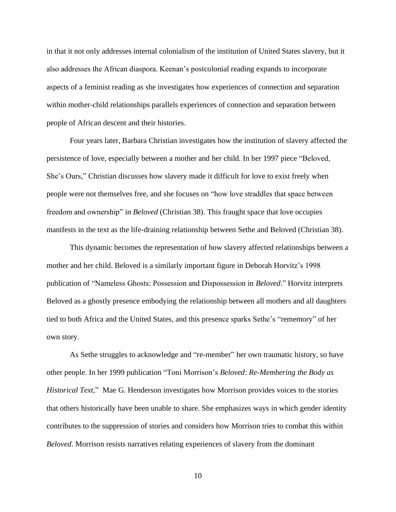in that it not only addresses internal colonialism of the institution of United States slavery, but it also addresses the African diaspora. Keenan's postcolonial reading expands to incorporate aspects of a feminist reading as she investigates how experiences of connection and separation within mother-child relationships parallels experiences of connection and separation between people of African descent and their histories.

Four years later, Barbara Christian investigates how the institution of slavery affected the persistence of love, especially between a mother and her child*.* In her 1997 piece "Beloved, She's Ours," Christian discusses how slavery made it difficult for love to exist freely when people were not themselves free, and she focuses on "how love straddles that space between freedom and ownership" in *Beloved* (Christian 38). This fraught space that love occupies manifests in the text as the life-draining relationship between Sethe and Beloved (Christian 38).

This dynamic becomes the representation of how slavery affected relationships between a mother and her child. Beloved is a similarly important figure in Deborah Horvitz's 1998 publication of "Nameless Ghosts: Possession and Dispossession in *Beloved*." Horvitz interprets Beloved as a ghostly presence embodying the relationship between all mothers and all daughters tied to both Africa and the United States, and this presence sparks Sethe's "rememory" of her own story.

As Sethe struggles to acknowledge and "re-member" her own traumatic history, so have other people. In her 1999 publication "Toni Morrison's *Beloved*: *Re-Membering the Body as Historical Text*," Mae G. Henderson investigates how Morrison provides voices to the stories that others historically have been unable to share. She emphasizes ways in which gender identity contributes to the suppression of stories and considers how Morrison tries to combat this within *Beloved*. Morrison resists narratives relating experiences of slavery from the dominant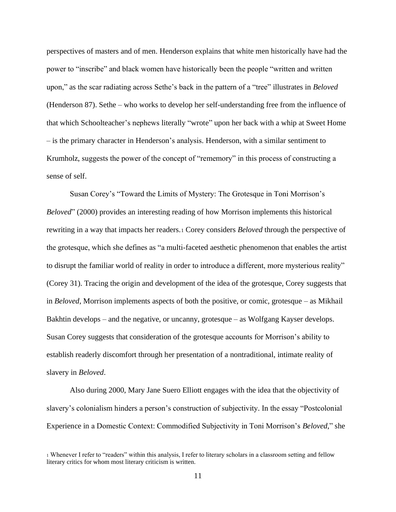perspectives of masters and of men. Henderson explains that white men historically have had the power to "inscribe" and black women have historically been the people "written and written upon," as the scar radiating across Sethe's back in the pattern of a "tree" illustrates in *Beloved* (Henderson 87). Sethe – who works to develop her self-understanding free from the influence of that which Schoolteacher's nephews literally "wrote" upon her back with a whip at Sweet Home – is the primary character in Henderson's analysis. Henderson, with a similar sentiment to Krumholz, suggests the power of the concept of "rememory" in this process of constructing a sense of self.

Susan Corey's "Toward the Limits of Mystery: The Grotesque in Toni Morrison's *Beloved*" (2000) provides an interesting reading of how Morrison implements this historical rewriting in a way that impacts her readers.<sup>1</sup> Corey considers *Beloved* through the perspective of the grotesque, which she defines as "a multi-faceted aesthetic phenomenon that enables the artist to disrupt the familiar world of reality in order to introduce a different, more mysterious reality" (Corey 31). Tracing the origin and development of the idea of the grotesque, Corey suggests that in *Beloved*, Morrison implements aspects of both the positive, or comic, grotesque – as Mikhail Bakhtin develops – and the negative, or uncanny, grotesque – as Wolfgang Kayser develops. Susan Corey suggests that consideration of the grotesque accounts for Morrison's ability to establish readerly discomfort through her presentation of a nontraditional, intimate reality of slavery in *Beloved*.

Also during 2000, Mary Jane Suero Elliott engages with the idea that the objectivity of slavery's colonialism hinders a person's construction of subjectivity. In the essay "Postcolonial Experience in a Domestic Context: Commodified Subjectivity in Toni Morrison's *Beloved*," she

<sup>1</sup> Whenever I refer to "readers" within this analysis, I refer to literary scholars in a classroom setting and fellow literary critics for whom most literary criticism is written.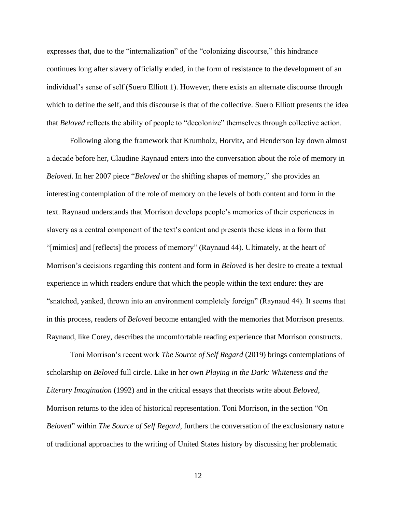expresses that, due to the "internalization" of the "colonizing discourse," this hindrance continues long after slavery officially ended, in the form of resistance to the development of an individual's sense of self (Suero Elliott 1). However, there exists an alternate discourse through which to define the self, and this discourse is that of the collective. Suero Elliott presents the idea that *Beloved* reflects the ability of people to "decolonize" themselves through collective action.

Following along the framework that Krumholz, Horvitz, and Henderson lay down almost a decade before her, Claudine Raynaud enters into the conversation about the role of memory in *Beloved*. In her 2007 piece "*Beloved* or the shifting shapes of memory," she provides an interesting contemplation of the role of memory on the levels of both content and form in the text. Raynaud understands that Morrison develops people's memories of their experiences in slavery as a central component of the text's content and presents these ideas in a form that "[mimics] and [reflects] the process of memory" (Raynaud 44). Ultimately, at the heart of Morrison's decisions regarding this content and form in *Beloved* is her desire to create a textual experience in which readers endure that which the people within the text endure: they are "snatched, yanked, thrown into an environment completely foreign" (Raynaud 44). It seems that in this process, readers of *Beloved* become entangled with the memories that Morrison presents. Raynaud, like Corey, describes the uncomfortable reading experience that Morrison constructs.

Toni Morrison's recent work *The Source of Self Regard* (2019) brings contemplations of scholarship on *Beloved* full circle. Like in her own *Playing in the Dark: Whiteness and the Literary Imagination* (1992) and in the critical essays that theorists write about *Beloved*, Morrison returns to the idea of historical representation. Toni Morrison, in the section "On *Beloved*" within *The Source of Self Regard*, furthers the conversation of the exclusionary nature of traditional approaches to the writing of United States history by discussing her problematic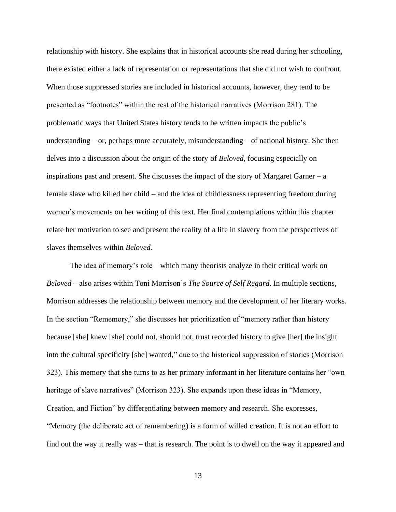relationship with history. She explains that in historical accounts she read during her schooling, there existed either a lack of representation or representations that she did not wish to confront. When those suppressed stories are included in historical accounts, however, they tend to be presented as "footnotes" within the rest of the historical narratives (Morrison 281). The problematic ways that United States history tends to be written impacts the public's understanding – or, perhaps more accurately, misunderstanding – of national history. She then delves into a discussion about the origin of the story of *Beloved*, focusing especially on inspirations past and present. She discusses the impact of the story of Margaret Garner – a female slave who killed her child – and the idea of childlessness representing freedom during women's movements on her writing of this text. Her final contemplations within this chapter relate her motivation to see and present the reality of a life in slavery from the perspectives of slaves themselves within *Beloved.*

The idea of memory's role – which many theorists analyze in their critical work on *Beloved* – also arises within Toni Morrison's *The Source of Self Regard*. In multiple sections, Morrison addresses the relationship between memory and the development of her literary works. In the section "Rememory," she discusses her prioritization of "memory rather than history because [she] knew [she] could not, should not, trust recorded history to give [her] the insight into the cultural specificity [she] wanted," due to the historical suppression of stories (Morrison 323). This memory that she turns to as her primary informant in her literature contains her "own heritage of slave narratives" (Morrison 323). She expands upon these ideas in "Memory, Creation, and Fiction" by differentiating between memory and research. She expresses, "Memory (the deliberate act of remembering) is a form of willed creation. It is not an effort to find out the way it really was – that is research. The point is to dwell on the way it appeared and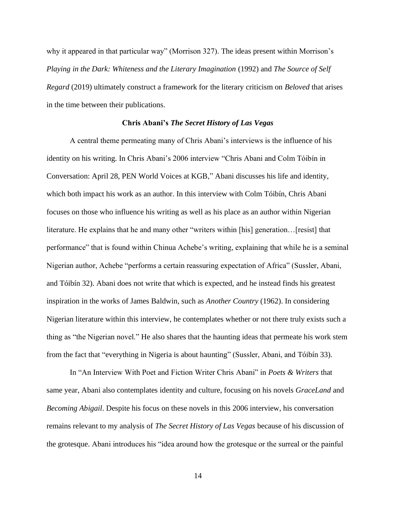why it appeared in that particular way" (Morrison 327). The ideas present within Morrison's *Playing in the Dark: Whiteness and the Literary Imagination* (1992) and *The Source of Self Regard* (2019) ultimately construct a framework for the literary criticism on *Beloved* that arises in the time between their publications.

## **Chris Abani's** *The Secret History of Las Vegas*

A central theme permeating many of Chris Abani's interviews is the influence of his identity on his writing. In Chris Abani's 2006 interview "Chris Abani and Colm Tóibín in Conversation: April 28, PEN World Voices at KGB," Abani discusses his life and identity, which both impact his work as an author. In this interview with Colm Tóibín, Chris Abani focuses on those who influence his writing as well as his place as an author within Nigerian literature. He explains that he and many other "writers within [his] generation…[resist] that performance" that is found within Chinua Achebe's writing, explaining that while he is a seminal Nigerian author, Achebe "performs a certain reassuring expectation of Africa" (Sussler, Abani, and Tóibín 32). Abani does not write that which is expected, and he instead finds his greatest inspiration in the works of James Baldwin, such as *Another Country* (1962). In considering Nigerian literature within this interview, he contemplates whether or not there truly exists such a thing as "the Nigerian novel." He also shares that the haunting ideas that permeate his work stem from the fact that "everything in Nigeria is about haunting" (Sussler, Abani, and Tóibín 33).

In "An Interview With Poet and Fiction Writer Chris Abani" in *Poets & Writers* that same year, Abani also contemplates identity and culture, focusing on his novels *GraceLand* and *Becoming Abigail*. Despite his focus on these novels in this 2006 interview, his conversation remains relevant to my analysis of *The Secret History of Las Vegas* because of his discussion of the grotesque. Abani introduces his "idea around how the grotesque or the surreal or the painful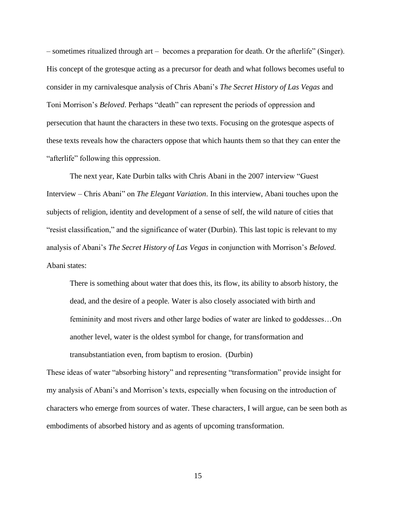– sometimes ritualized through art – becomes a preparation for death. Or the afterlife" (Singer). His concept of the grotesque acting as a precursor for death and what follows becomes useful to consider in my carnivalesque analysis of Chris Abani's *The Secret History of Las Vegas* and Toni Morrison's *Beloved*. Perhaps "death" can represent the periods of oppression and persecution that haunt the characters in these two texts. Focusing on the grotesque aspects of these texts reveals how the characters oppose that which haunts them so that they can enter the "afterlife" following this oppression.

The next year, Kate Durbin talks with Chris Abani in the 2007 interview "Guest Interview – Chris Abani" on *The Elegant Variation*. In this interview, Abani touches upon the subjects of religion, identity and development of a sense of self, the wild nature of cities that "resist classification," and the significance of water (Durbin). This last topic is relevant to my analysis of Abani's *The Secret History of Las Vegas* in conjunction with Morrison's *Beloved.*  Abani states:

There is something about water that does this, its flow, its ability to absorb history, the dead, and the desire of a people. Water is also closely associated with birth and femininity and most rivers and other large bodies of water are linked to goddesses…On another level, water is the oldest symbol for change, for transformation and transubstantiation even, from baptism to erosion. (Durbin)

These ideas of water "absorbing history" and representing "transformation" provide insight for my analysis of Abani's and Morrison's texts, especially when focusing on the introduction of characters who emerge from sources of water. These characters, I will argue, can be seen both as embodiments of absorbed history and as agents of upcoming transformation.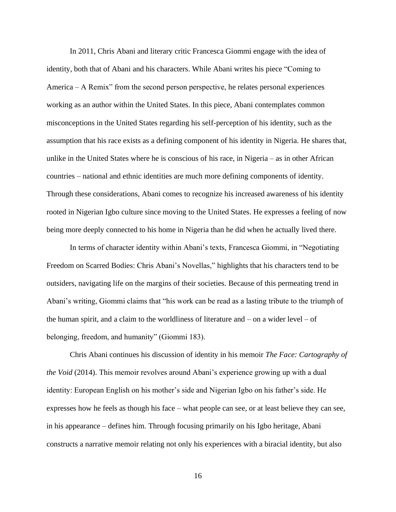In 2011, Chris Abani and literary critic Francesca Giommi engage with the idea of identity, both that of Abani and his characters. While Abani writes his piece "Coming to America – A Remix" from the second person perspective, he relates personal experiences working as an author within the United States. In this piece, Abani contemplates common misconceptions in the United States regarding his self-perception of his identity, such as the assumption that his race exists as a defining component of his identity in Nigeria. He shares that, unlike in the United States where he is conscious of his race, in Nigeria – as in other African countries – national and ethnic identities are much more defining components of identity. Through these considerations, Abani comes to recognize his increased awareness of his identity rooted in Nigerian Igbo culture since moving to the United States. He expresses a feeling of now being more deeply connected to his home in Nigeria than he did when he actually lived there.

In terms of character identity within Abani's texts, Francesca Giommi, in "Negotiating Freedom on Scarred Bodies: Chris Abani's Novellas," highlights that his characters tend to be outsiders, navigating life on the margins of their societies. Because of this permeating trend in Abani's writing, Giommi claims that "his work can be read as a lasting tribute to the triumph of the human spirit, and a claim to the worldliness of literature and  $-$  on a wider level  $-$  of belonging, freedom, and humanity" (Giommi 183).

Chris Abani continues his discussion of identity in his memoir *The Face: Cartography of the Void* (2014). This memoir revolves around Abani's experience growing up with a dual identity: European English on his mother's side and Nigerian Igbo on his father's side. He expresses how he feels as though his face – what people can see, or at least believe they can see, in his appearance – defines him. Through focusing primarily on his Igbo heritage, Abani constructs a narrative memoir relating not only his experiences with a biracial identity, but also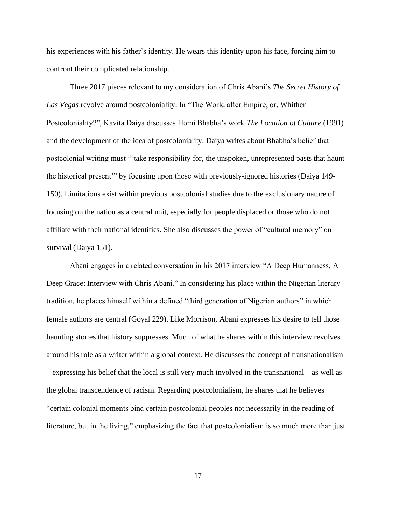his experiences with his father's identity. He wears this identity upon his face, forcing him to confront their complicated relationship.

Three 2017 pieces relevant to my consideration of Chris Abani's *The Secret History of Las Vegas* revolve around postcoloniality. In "The World after Empire; or, Whither Postcoloniality?", Kavita Daiya discusses Homi Bhabha's work *The Location of Culture* (1991) and the development of the idea of postcoloniality. Daiya writes about Bhabha's belief that postcolonial writing must "'take responsibility for, the unspoken, unrepresented pasts that haunt the historical present'" by focusing upon those with previously-ignored histories (Daiya 149- 150). Limitations exist within previous postcolonial studies due to the exclusionary nature of focusing on the nation as a central unit, especially for people displaced or those who do not affiliate with their national identities. She also discusses the power of "cultural memory" on survival (Daiya 151).

Abani engages in a related conversation in his 2017 interview "A Deep Humanness, A Deep Grace: Interview with Chris Abani." In considering his place within the Nigerian literary tradition, he places himself within a defined "third generation of Nigerian authors" in which female authors are central (Goyal 229). Like Morrison, Abani expresses his desire to tell those haunting stories that history suppresses. Much of what he shares within this interview revolves around his role as a writer within a global context. He discusses the concept of transnationalism – expressing his belief that the local is still very much involved in the transnational – as well as the global transcendence of racism. Regarding postcolonialism, he shares that he believes "certain colonial moments bind certain postcolonial peoples not necessarily in the reading of literature, but in the living," emphasizing the fact that postcolonialism is so much more than just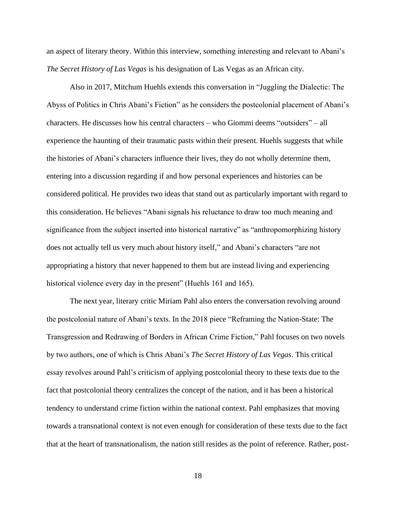an aspect of literary theory. Within this interview, something interesting and relevant to Abani's *The Secret History of Las Vegas* is his designation of Las Vegas as an African city.

Also in 2017, Mitchum Huehls extends this conversation in "Juggling the Dialectic: The Abyss of Politics in Chris Abani's Fiction" as he considers the postcolonial placement of Abani's characters. He discusses how his central characters – who Giommi deems "outsiders" – all experience the haunting of their traumatic pasts within their present. Huehls suggests that while the histories of Abani's characters influence their lives, they do not wholly determine them, entering into a discussion regarding if and how personal experiences and histories can be considered political. He provides two ideas that stand out as particularly important with regard to this consideration. He believes "Abani signals his reluctance to draw too much meaning and significance from the subject inserted into historical narrative" as "anthropomorphizing history does not actually tell us very much about history itself," and Abani's characters "are not appropriating a history that never happened to them but are instead living and experiencing historical violence every day in the present" (Huehls 161 and 165).

The next year, literary critic Miriam Pahl also enters the conversation revolving around the postcolonial nature of Abani's texts. In the 2018 piece "Reframing the Nation-State: The Transgression and Redrawing of Borders in African Crime Fiction," Pahl focuses on two novels by two authors, one of which is Chris Abani's *The Secret History of Las Vegas*. This critical essay revolves around Pahl's criticism of applying postcolonial theory to these texts due to the fact that postcolonial theory centralizes the concept of the nation, and it has been a historical tendency to understand crime fiction within the national context. Pahl emphasizes that moving towards a transnational context is not even enough for consideration of these texts due to the fact that at the heart of transnationalism, the nation still resides as the point of reference. Rather, post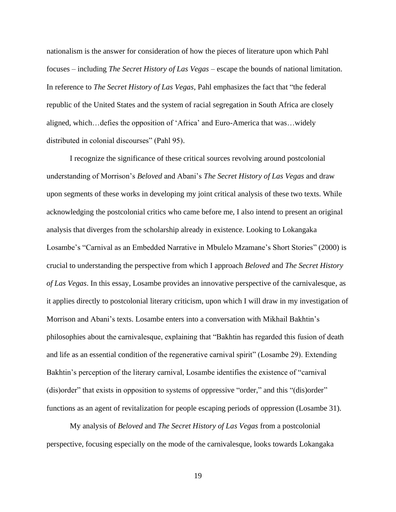nationalism is the answer for consideration of how the pieces of literature upon which Pahl focuses – including *The Secret History of Las Vegas* – escape the bounds of national limitation. In reference to *The Secret History of Las Vegas*, Pahl emphasizes the fact that "the federal republic of the United States and the system of racial segregation in South Africa are closely aligned, which…defies the opposition of 'Africa' and Euro-America that was…widely distributed in colonial discourses" (Pahl 95).

I recognize the significance of these critical sources revolving around postcolonial understanding of Morrison's *Beloved* and Abani's *The Secret History of Las Vegas* and draw upon segments of these works in developing my joint critical analysis of these two texts. While acknowledging the postcolonial critics who came before me, I also intend to present an original analysis that diverges from the scholarship already in existence. Looking to Lokangaka Losambe's "Carnival as an Embedded Narrative in Mbulelo Mzamane's Short Stories" (2000) is crucial to understanding the perspective from which I approach *Beloved* and *The Secret History of Las Vegas*. In this essay, Losambe provides an innovative perspective of the carnivalesque, as it applies directly to postcolonial literary criticism, upon which I will draw in my investigation of Morrison and Abani's texts. Losambe enters into a conversation with Mikhail Bakhtin's philosophies about the carnivalesque, explaining that "Bakhtin has regarded this fusion of death and life as an essential condition of the regenerative carnival spirit" (Losambe 29). Extending Bakhtin's perception of the literary carnival, Losambe identifies the existence of "carnival (dis)order" that exists in opposition to systems of oppressive "order," and this "(dis)order" functions as an agent of revitalization for people escaping periods of oppression (Losambe 31).

My analysis of *Beloved* and *The Secret History of Las Vegas* from a postcolonial perspective, focusing especially on the mode of the carnivalesque, looks towards Lokangaka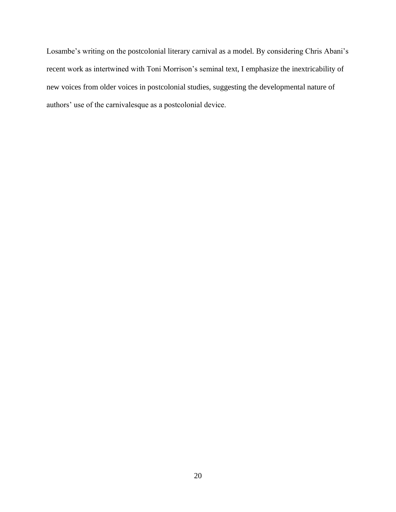Losambe's writing on the postcolonial literary carnival as a model. By considering Chris Abani's recent work as intertwined with Toni Morrison's seminal text, I emphasize the inextricability of new voices from older voices in postcolonial studies, suggesting the developmental nature of authors' use of the carnivalesque as a postcolonial device.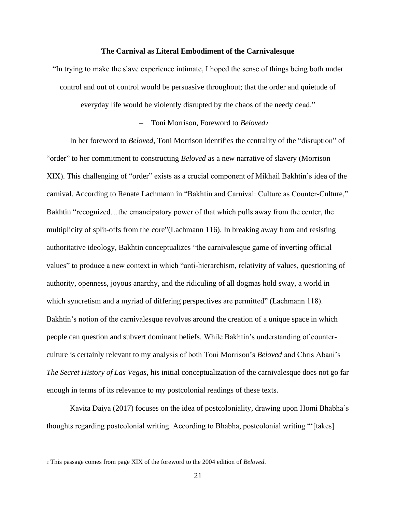#### **The Carnival as Literal Embodiment of the Carnivalesque**

"In trying to make the slave experience intimate, I hoped the sense of things being both under control and out of control would be persuasive throughout; that the order and quietude of everyday life would be violently disrupted by the chaos of the needy dead."

– Toni Morrison, Foreword to *Beloved*<sup>2</sup>

In her foreword to *Beloved*, Toni Morrison identifies the centrality of the "disruption" of "order" to her commitment to constructing *Beloved* as a new narrative of slavery (Morrison XIX). This challenging of "order" exists as a crucial component of Mikhail Bakhtin's idea of the carnival. According to Renate Lachmann in "Bakhtin and Carnival: Culture as Counter-Culture," Bakhtin "recognized…the emancipatory power of that which pulls away from the center, the multiplicity of split-offs from the core"(Lachmann 116). In breaking away from and resisting authoritative ideology, Bakhtin conceptualizes "the carnivalesque game of inverting official values" to produce a new context in which "anti-hierarchism, relativity of values, questioning of authority, openness, joyous anarchy, and the ridiculing of all dogmas hold sway, a world in which syncretism and a myriad of differing perspectives are permitted" (Lachmann 118). Bakhtin's notion of the carnivalesque revolves around the creation of a unique space in which people can question and subvert dominant beliefs. While Bakhtin's understanding of counterculture is certainly relevant to my analysis of both Toni Morrison's *Beloved* and Chris Abani's *The Secret History of Las Vegas*, his initial conceptualization of the carnivalesque does not go far enough in terms of its relevance to my postcolonial readings of these texts.

Kavita Daiya (2017) focuses on the idea of postcoloniality, drawing upon Homi Bhabha's thoughts regarding postcolonial writing. According to Bhabha, postcolonial writing "'[takes]

<sup>2</sup> This passage comes from page XIX of the foreword to the 2004 edition of *Beloved*.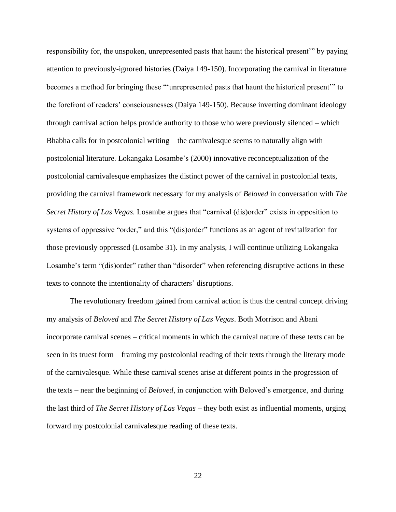responsibility for, the unspoken, unrepresented pasts that haunt the historical present'" by paying attention to previously-ignored histories (Daiya 149-150). Incorporating the carnival in literature becomes a method for bringing these "'unrepresented pasts that haunt the historical present'" to the forefront of readers' consciousnesses (Daiya 149-150). Because inverting dominant ideology through carnival action helps provide authority to those who were previously silenced – which Bhabha calls for in postcolonial writing – the carnivalesque seems to naturally align with postcolonial literature. Lokangaka Losambe's (2000) innovative reconceptualization of the postcolonial carnivalesque emphasizes the distinct power of the carnival in postcolonial texts, providing the carnival framework necessary for my analysis of *Beloved* in conversation with *The Secret History of Las Vegas.* Losambe argues that "carnival (dis)order" exists in opposition to systems of oppressive "order," and this "(dis)order" functions as an agent of revitalization for those previously oppressed (Losambe 31). In my analysis, I will continue utilizing Lokangaka Losambe's term "(dis)order" rather than "disorder" when referencing disruptive actions in these texts to connote the intentionality of characters' disruptions.

The revolutionary freedom gained from carnival action is thus the central concept driving my analysis of *Beloved* and *The Secret History of Las Vegas*. Both Morrison and Abani incorporate carnival scenes – critical moments in which the carnival nature of these texts can be seen in its truest form – framing my postcolonial reading of their texts through the literary mode of the carnivalesque. While these carnival scenes arise at different points in the progression of the texts – near the beginning of *Beloved*, in conjunction with Beloved's emergence, and during the last third of *The Secret History of Las Vegas* – they both exist as influential moments, urging forward my postcolonial carnivalesque reading of these texts.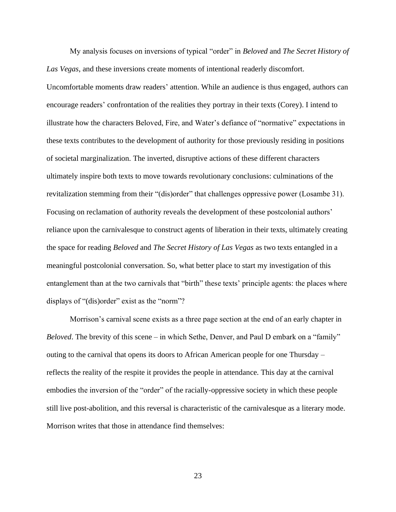My analysis focuses on inversions of typical "order" in *Beloved* and *The Secret History of Las Vegas*, and these inversions create moments of intentional readerly discomfort. Uncomfortable moments draw readers' attention. While an audience is thus engaged, authors can encourage readers' confrontation of the realities they portray in their texts (Corey). I intend to illustrate how the characters Beloved, Fire, and Water's defiance of "normative" expectations in these texts contributes to the development of authority for those previously residing in positions of societal marginalization. The inverted, disruptive actions of these different characters ultimately inspire both texts to move towards revolutionary conclusions: culminations of the revitalization stemming from their "(dis)order" that challenges oppressive power (Losambe 31). Focusing on reclamation of authority reveals the development of these postcolonial authors' reliance upon the carnivalesque to construct agents of liberation in their texts, ultimately creating the space for reading *Beloved* and *The Secret History of Las Vegas* as two texts entangled in a meaningful postcolonial conversation. So, what better place to start my investigation of this entanglement than at the two carnivals that "birth" these texts' principle agents: the places where displays of "(dis)order" exist as the "norm"?

Morrison's carnival scene exists as a three page section at the end of an early chapter in *Beloved*. The brevity of this scene – in which Sethe, Denver, and Paul D embark on a "family" outing to the carnival that opens its doors to African American people for one Thursday – reflects the reality of the respite it provides the people in attendance. This day at the carnival embodies the inversion of the "order" of the racially-oppressive society in which these people still live post-abolition, and this reversal is characteristic of the carnivalesque as a literary mode. Morrison writes that those in attendance find themselves: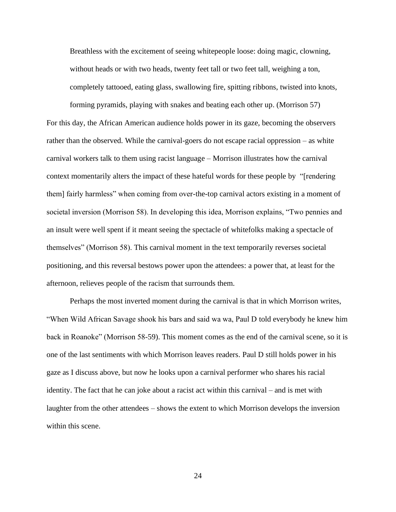Breathless with the excitement of seeing whitepeople loose: doing magic, clowning, without heads or with two heads, twenty feet tall or two feet tall, weighing a ton, completely tattooed, eating glass, swallowing fire, spitting ribbons, twisted into knots,

forming pyramids, playing with snakes and beating each other up. (Morrison 57) For this day, the African American audience holds power in its gaze, becoming the observers rather than the observed. While the carnival-goers do not escape racial oppression – as white carnival workers talk to them using racist language – Morrison illustrates how the carnival context momentarily alters the impact of these hateful words for these people by "[rendering them] fairly harmless" when coming from over-the-top carnival actors existing in a moment of societal inversion (Morrison 58). In developing this idea, Morrison explains, "Two pennies and an insult were well spent if it meant seeing the spectacle of whitefolks making a spectacle of themselves" (Morrison 58). This carnival moment in the text temporarily reverses societal positioning, and this reversal bestows power upon the attendees: a power that, at least for the afternoon, relieves people of the racism that surrounds them.

Perhaps the most inverted moment during the carnival is that in which Morrison writes, "When Wild African Savage shook his bars and said wa wa, Paul D told everybody he knew him back in Roanoke" (Morrison 58-59). This moment comes as the end of the carnival scene, so it is one of the last sentiments with which Morrison leaves readers. Paul D still holds power in his gaze as I discuss above, but now he looks upon a carnival performer who shares his racial identity. The fact that he can joke about a racist act within this carnival – and is met with laughter from the other attendees – shows the extent to which Morrison develops the inversion within this scene.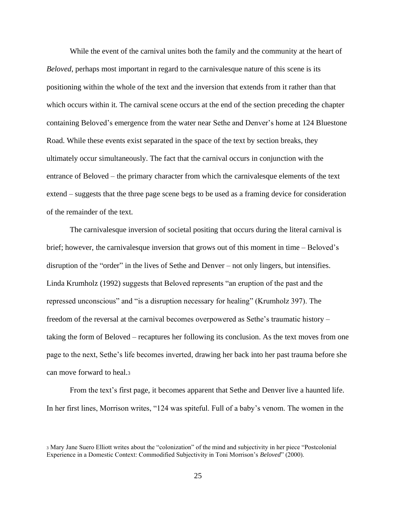While the event of the carnival unites both the family and the community at the heart of *Beloved*, perhaps most important in regard to the carnivalesque nature of this scene is its positioning within the whole of the text and the inversion that extends from it rather than that which occurs within it. The carnival scene occurs at the end of the section preceding the chapter containing Beloved's emergence from the water near Sethe and Denver's home at 124 Bluestone Road. While these events exist separated in the space of the text by section breaks, they ultimately occur simultaneously. The fact that the carnival occurs in conjunction with the entrance of Beloved – the primary character from which the carnivalesque elements of the text extend – suggests that the three page scene begs to be used as a framing device for consideration of the remainder of the text.

The carnivalesque inversion of societal positing that occurs during the literal carnival is brief; however, the carnivalesque inversion that grows out of this moment in time – Beloved's disruption of the "order" in the lives of Sethe and Denver – not only lingers, but intensifies. Linda Krumholz (1992) suggests that Beloved represents "an eruption of the past and the repressed unconscious" and "is a disruption necessary for healing" (Krumholz 397). The freedom of the reversal at the carnival becomes overpowered as Sethe's traumatic history – taking the form of Beloved – recaptures her following its conclusion. As the text moves from one page to the next, Sethe's life becomes inverted, drawing her back into her past trauma before she can move forward to heal.<sup>3</sup>

From the text's first page, it becomes apparent that Sethe and Denver live a haunted life. In her first lines, Morrison writes, "124 was spiteful. Full of a baby's venom. The women in the

<sup>3</sup> Mary Jane Suero Elliott writes about the "colonization" of the mind and subjectivity in her piece "Postcolonial Experience in a Domestic Context: Commodified Subjectivity in Toni Morrison's *Beloved*" (2000).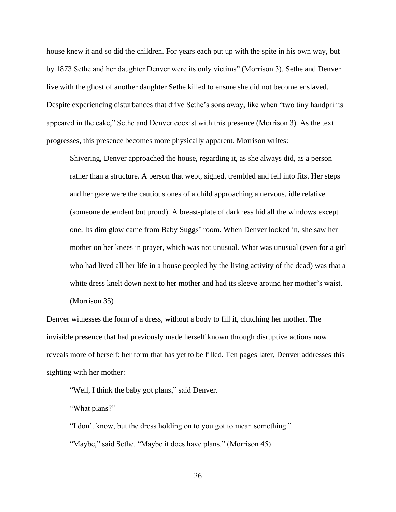house knew it and so did the children. For years each put up with the spite in his own way, but by 1873 Sethe and her daughter Denver were its only victims" (Morrison 3). Sethe and Denver live with the ghost of another daughter Sethe killed to ensure she did not become enslaved. Despite experiencing disturbances that drive Sethe's sons away, like when "two tiny handprints appeared in the cake," Sethe and Denver coexist with this presence (Morrison 3). As the text progresses, this presence becomes more physically apparent. Morrison writes:

Shivering, Denver approached the house, regarding it, as she always did, as a person rather than a structure. A person that wept, sighed, trembled and fell into fits. Her steps and her gaze were the cautious ones of a child approaching a nervous, idle relative (someone dependent but proud). A breast-plate of darkness hid all the windows except one. Its dim glow came from Baby Suggs' room. When Denver looked in, she saw her mother on her knees in prayer, which was not unusual. What was unusual (even for a girl who had lived all her life in a house peopled by the living activity of the dead) was that a white dress knelt down next to her mother and had its sleeve around her mother's waist. (Morrison 35)

Denver witnesses the form of a dress, without a body to fill it, clutching her mother. The invisible presence that had previously made herself known through disruptive actions now reveals more of herself: her form that has yet to be filled. Ten pages later, Denver addresses this sighting with her mother:

"Well, I think the baby got plans," said Denver.

"What plans?"

"I don't know, but the dress holding on to you got to mean something."

"Maybe," said Sethe. "Maybe it does have plans." (Morrison 45)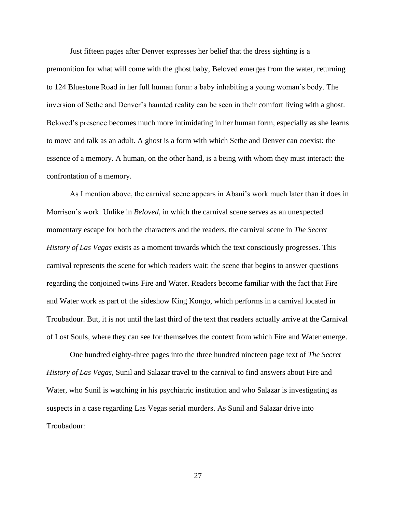Just fifteen pages after Denver expresses her belief that the dress sighting is a premonition for what will come with the ghost baby, Beloved emerges from the water, returning to 124 Bluestone Road in her full human form: a baby inhabiting a young woman's body. The inversion of Sethe and Denver's haunted reality can be seen in their comfort living with a ghost. Beloved's presence becomes much more intimidating in her human form, especially as she learns to move and talk as an adult. A ghost is a form with which Sethe and Denver can coexist: the essence of a memory. A human, on the other hand, is a being with whom they must interact: the confrontation of a memory.

As I mention above, the carnival scene appears in Abani's work much later than it does in Morrison's work. Unlike in *Beloved*, in which the carnival scene serves as an unexpected momentary escape for both the characters and the readers, the carnival scene in *The Secret History of Las Vegas* exists as a moment towards which the text consciously progresses. This carnival represents the scene for which readers wait: the scene that begins to answer questions regarding the conjoined twins Fire and Water. Readers become familiar with the fact that Fire and Water work as part of the sideshow King Kongo, which performs in a carnival located in Troubadour. But, it is not until the last third of the text that readers actually arrive at the Carnival of Lost Souls, where they can see for themselves the context from which Fire and Water emerge.

One hundred eighty-three pages into the three hundred nineteen page text of *The Secret History of Las Vegas*, Sunil and Salazar travel to the carnival to find answers about Fire and Water, who Sunil is watching in his psychiatric institution and who Salazar is investigating as suspects in a case regarding Las Vegas serial murders. As Sunil and Salazar drive into Troubadour: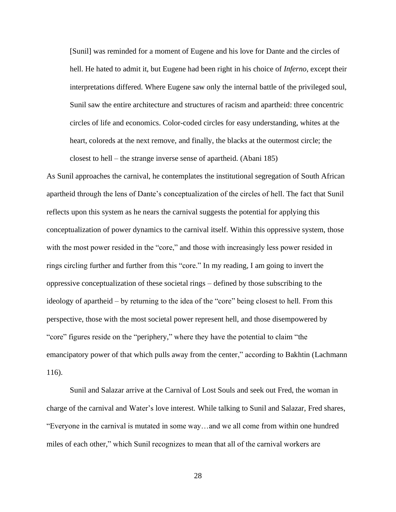[Sunil] was reminded for a moment of Eugene and his love for Dante and the circles of hell. He hated to admit it, but Eugene had been right in his choice of *Inferno*, except their interpretations differed. Where Eugene saw only the internal battle of the privileged soul, Sunil saw the entire architecture and structures of racism and apartheid: three concentric circles of life and economics. Color-coded circles for easy understanding, whites at the heart, coloreds at the next remove, and finally, the blacks at the outermost circle; the closest to hell – the strange inverse sense of apartheid. (Abani 185)

As Sunil approaches the carnival, he contemplates the institutional segregation of South African apartheid through the lens of Dante's conceptualization of the circles of hell. The fact that Sunil reflects upon this system as he nears the carnival suggests the potential for applying this conceptualization of power dynamics to the carnival itself. Within this oppressive system, those with the most power resided in the "core," and those with increasingly less power resided in rings circling further and further from this "core." In my reading, I am going to invert the oppressive conceptualization of these societal rings – defined by those subscribing to the ideology of apartheid – by returning to the idea of the "core" being closest to hell. From this perspective, those with the most societal power represent hell, and those disempowered by "core" figures reside on the "periphery," where they have the potential to claim "the emancipatory power of that which pulls away from the center," according to Bakhtin (Lachmann 116).

Sunil and Salazar arrive at the Carnival of Lost Souls and seek out Fred, the woman in charge of the carnival and Water's love interest. While talking to Sunil and Salazar, Fred shares, "Everyone in the carnival is mutated in some way…and we all come from within one hundred miles of each other," which Sunil recognizes to mean that all of the carnival workers are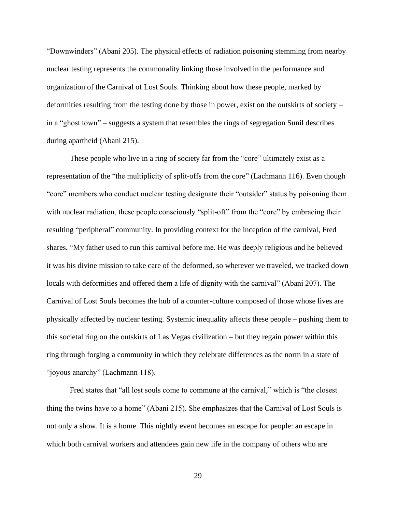"Downwinders" (Abani 205). The physical effects of radiation poisoning stemming from nearby nuclear testing represents the commonality linking those involved in the performance and organization of the Carnival of Lost Souls. Thinking about how these people, marked by deformities resulting from the testing done by those in power, exist on the outskirts of society – in a "ghost town" – suggests a system that resembles the rings of segregation Sunil describes during apartheid (Abani 215).

These people who live in a ring of society far from the "core" ultimately exist as a representation of the "the multiplicity of split-offs from the core" (Lachmann 116). Even though "core" members who conduct nuclear testing designate their "outsider" status by poisoning them with nuclear radiation, these people consciously "split-off" from the "core" by embracing their resulting "peripheral" community. In providing context for the inception of the carnival, Fred shares, "My father used to run this carnival before me. He was deeply religious and he believed it was his divine mission to take care of the deformed, so wherever we traveled, we tracked down locals with deformities and offered them a life of dignity with the carnival" (Abani 207). The Carnival of Lost Souls becomes the hub of a counter-culture composed of those whose lives are physically affected by nuclear testing. Systemic inequality affects these people – pushing them to this societal ring on the outskirts of Las Vegas civilization – but they regain power within this ring through forging a community in which they celebrate differences as the norm in a state of "joyous anarchy" (Lachmann 118).

Fred states that "all lost souls come to commune at the carnival," which is "the closest thing the twins have to a home" (Abani 215). She emphasizes that the Carnival of Lost Souls is not only a show. It is a home. This nightly event becomes an escape for people: an escape in which both carnival workers and attendees gain new life in the company of others who are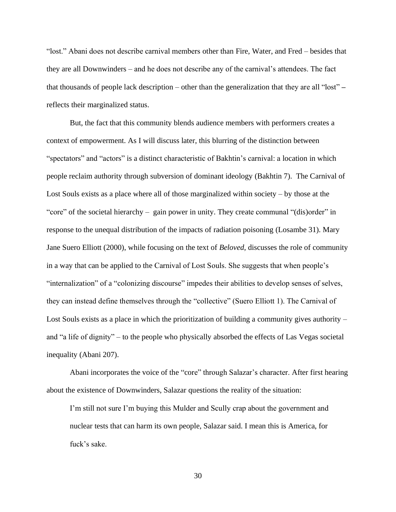"lost." Abani does not describe carnival members other than Fire, Water, and Fred – besides that they are all Downwinders – and he does not describe any of the carnival's attendees. The fact that thousands of people lack description – other than the generalization that they are all "lost" **–** reflects their marginalized status.

But, the fact that this community blends audience members with performers creates a context of empowerment. As I will discuss later, this blurring of the distinction between "spectators" and "actors" is a distinct characteristic of Bakhtin's carnival: a location in which people reclaim authority through subversion of dominant ideology (Bakhtin 7). The Carnival of Lost Souls exists as a place where all of those marginalized within society – by those at the "core" of the societal hierarchy – gain power in unity. They create communal "(dis)order" in response to the unequal distribution of the impacts of radiation poisoning (Losambe 31). Mary Jane Suero Elliott (2000), while focusing on the text of *Beloved*, discusses the role of community in a way that can be applied to the Carnival of Lost Souls. She suggests that when people's "internalization" of a "colonizing discourse" impedes their abilities to develop senses of selves, they can instead define themselves through the "collective" (Suero Elliott 1). The Carnival of Lost Souls exists as a place in which the prioritization of building a community gives authority – and "a life of dignity" – to the people who physically absorbed the effects of Las Vegas societal inequality (Abani 207).

Abani incorporates the voice of the "core" through Salazar's character. After first hearing about the existence of Downwinders, Salazar questions the reality of the situation:

I'm still not sure I'm buying this Mulder and Scully crap about the government and nuclear tests that can harm its own people, Salazar said. I mean this is America, for fuck's sake.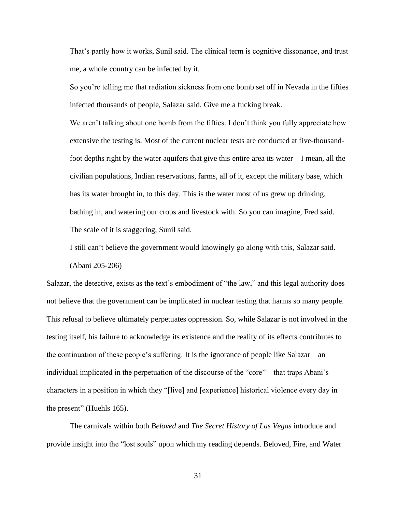That's partly how it works, Sunil said. The clinical term is cognitive dissonance, and trust me, a whole country can be infected by it.

So you're telling me that radiation sickness from one bomb set off in Nevada in the fifties infected thousands of people, Salazar said. Give me a fucking break.

We aren't talking about one bomb from the fifties. I don't think you fully appreciate how extensive the testing is. Most of the current nuclear tests are conducted at five-thousandfoot depths right by the water aquifers that give this entire area its water – I mean, all the civilian populations, Indian reservations, farms, all of it, except the military base, which has its water brought in, to this day. This is the water most of us grew up drinking, bathing in, and watering our crops and livestock with. So you can imagine, Fred said. The scale of it is staggering, Sunil said.

I still can't believe the government would knowingly go along with this, Salazar said. (Abani 205-206)

Salazar, the detective, exists as the text's embodiment of "the law," and this legal authority does not believe that the government can be implicated in nuclear testing that harms so many people. This refusal to believe ultimately perpetuates oppression. So, while Salazar is not involved in the testing itself, his failure to acknowledge its existence and the reality of its effects contributes to the continuation of these people's suffering. It is the ignorance of people like Salazar – an individual implicated in the perpetuation of the discourse of the "core" – that traps Abani's characters in a position in which they "[live] and [experience] historical violence every day in the present" (Huehls 165).

The carnivals within both *Beloved* and *The Secret History of Las Vegas* introduce and provide insight into the "lost souls" upon which my reading depends. Beloved, Fire, and Water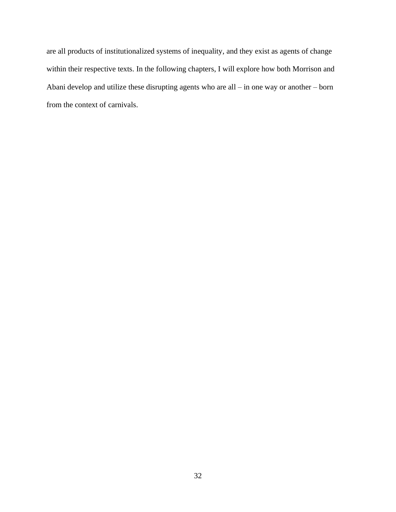are all products of institutionalized systems of inequality, and they exist as agents of change within their respective texts. In the following chapters, I will explore how both Morrison and Abani develop and utilize these disrupting agents who are all – in one way or another – born from the context of carnivals.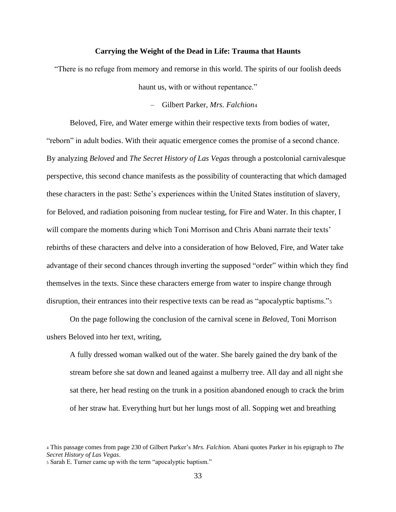#### **Carrying the Weight of the Dead in Life: Trauma that Haunts**

"There is no refuge from memory and remorse in this world. The spirits of our foolish deeds haunt us, with or without repentance."

– Gilbert Parker, *Mrs. Falchion*<sup>4</sup>

Beloved, Fire, and Water emerge within their respective texts from bodies of water, "reborn" in adult bodies. With their aquatic emergence comes the promise of a second chance. By analyzing *Beloved* and *The Secret History of Las Vegas* through a postcolonial carnivalesque perspective, this second chance manifests as the possibility of counteracting that which damaged these characters in the past: Sethe's experiences within the United States institution of slavery, for Beloved, and radiation poisoning from nuclear testing, for Fire and Water. In this chapter, I will compare the moments during which Toni Morrison and Chris Abani narrate their texts' rebirths of these characters and delve into a consideration of how Beloved, Fire, and Water take advantage of their second chances through inverting the supposed "order" within which they find themselves in the texts. Since these characters emerge from water to inspire change through disruption, their entrances into their respective texts can be read as "apocalyptic baptisms."<sup>5</sup>

On the page following the conclusion of the carnival scene in *Beloved*, Toni Morrison ushers Beloved into her text, writing,

A fully dressed woman walked out of the water. She barely gained the dry bank of the stream before she sat down and leaned against a mulberry tree. All day and all night she sat there, her head resting on the trunk in a position abandoned enough to crack the brim of her straw hat. Everything hurt but her lungs most of all. Sopping wet and breathing

<sup>5</sup> Sarah E. Turner came up with the term "apocalyptic baptism."

<sup>4</sup> This passage comes from page 230 of Gilbert Parker's *Mrs. Falchion.* Abani quotes Parker in his epigraph to *The Secret History of Las Vegas*.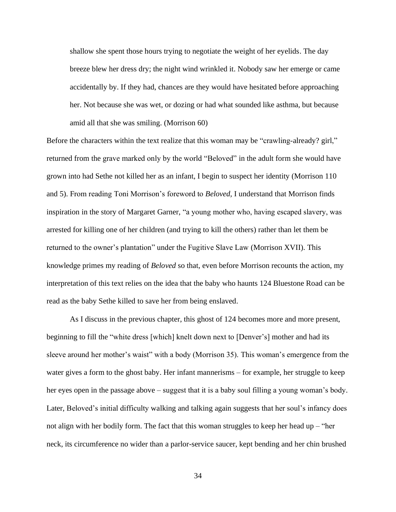shallow she spent those hours trying to negotiate the weight of her eyelids. The day breeze blew her dress dry; the night wind wrinkled it. Nobody saw her emerge or came accidentally by. If they had, chances are they would have hesitated before approaching her. Not because she was wet, or dozing or had what sounded like asthma, but because amid all that she was smiling. (Morrison 60)

Before the characters within the text realize that this woman may be "crawling-already? girl," returned from the grave marked only by the world "Beloved" in the adult form she would have grown into had Sethe not killed her as an infant, I begin to suspect her identity (Morrison 110 and 5). From reading Toni Morrison's foreword to *Beloved,* I understand that Morrison finds inspiration in the story of Margaret Garner, "a young mother who, having escaped slavery, was arrested for killing one of her children (and trying to kill the others) rather than let them be returned to the owner's plantation" under the Fugitive Slave Law (Morrison XVII). This knowledge primes my reading of *Beloved* so that, even before Morrison recounts the action, my interpretation of this text relies on the idea that the baby who haunts 124 Bluestone Road can be read as the baby Sethe killed to save her from being enslaved.

As I discuss in the previous chapter, this ghost of 124 becomes more and more present, beginning to fill the "white dress [which] knelt down next to [Denver's] mother and had its sleeve around her mother's waist" with a body (Morrison 35). This woman's emergence from the water gives a form to the ghost baby. Her infant mannerisms – for example, her struggle to keep her eyes open in the passage above – suggest that it is a baby soul filling a young woman's body. Later, Beloved's initial difficulty walking and talking again suggests that her soul's infancy does not align with her bodily form. The fact that this woman struggles to keep her head up – "her neck, its circumference no wider than a parlor-service saucer, kept bending and her chin brushed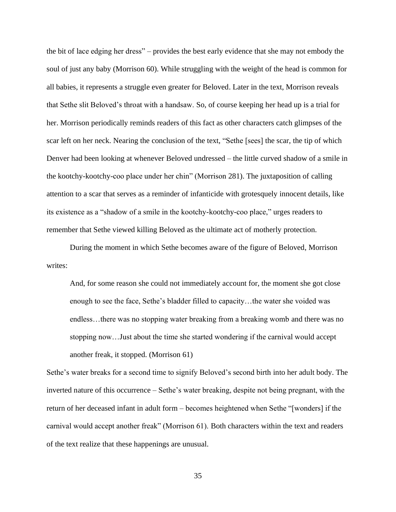the bit of lace edging her dress" – provides the best early evidence that she may not embody the soul of just any baby (Morrison 60). While struggling with the weight of the head is common for all babies, it represents a struggle even greater for Beloved. Later in the text, Morrison reveals that Sethe slit Beloved's throat with a handsaw. So, of course keeping her head up is a trial for her. Morrison periodically reminds readers of this fact as other characters catch glimpses of the scar left on her neck. Nearing the conclusion of the text, "Sethe [sees] the scar, the tip of which Denver had been looking at whenever Beloved undressed – the little curved shadow of a smile in the kootchy-kootchy-coo place under her chin" (Morrison 281). The juxtaposition of calling attention to a scar that serves as a reminder of infanticide with grotesquely innocent details, like its existence as a "shadow of a smile in the kootchy-kootchy-coo place," urges readers to remember that Sethe viewed killing Beloved as the ultimate act of motherly protection.

During the moment in which Sethe becomes aware of the figure of Beloved, Morrison writes:

And, for some reason she could not immediately account for, the moment she got close enough to see the face, Sethe's bladder filled to capacity…the water she voided was endless…there was no stopping water breaking from a breaking womb and there was no stopping now…Just about the time she started wondering if the carnival would accept another freak, it stopped. (Morrison 61)

Sethe's water breaks for a second time to signify Beloved's second birth into her adult body. The inverted nature of this occurrence – Sethe's water breaking, despite not being pregnant, with the return of her deceased infant in adult form – becomes heightened when Sethe "[wonders] if the carnival would accept another freak" (Morrison 61). Both characters within the text and readers of the text realize that these happenings are unusual.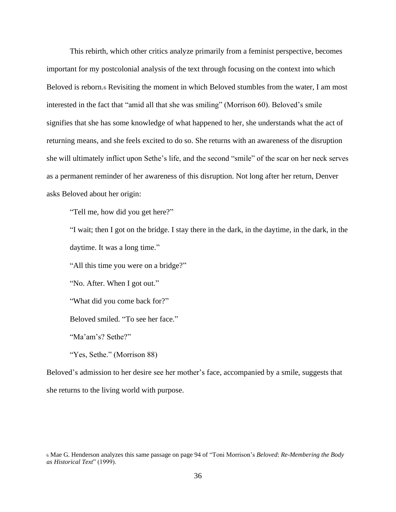This rebirth, which other critics analyze primarily from a feminist perspective, becomes important for my postcolonial analysis of the text through focusing on the context into which Beloved is reborn.<sup>6</sup> Revisiting the moment in which Beloved stumbles from the water, I am most interested in the fact that "amid all that she was smiling" (Morrison 60). Beloved's smile signifies that she has some knowledge of what happened to her, she understands what the act of returning means, and she feels excited to do so. She returns with an awareness of the disruption she will ultimately inflict upon Sethe's life, and the second "smile" of the scar on her neck serves as a permanent reminder of her awareness of this disruption. Not long after her return, Denver asks Beloved about her origin:

"Tell me, how did you get here?"

"I wait; then I got on the bridge. I stay there in the dark, in the daytime, in the dark, in the daytime. It was a long time."

"All this time you were on a bridge?"

"No. After. When I got out."

"What did you come back for?"

Beloved smiled. "To see her face."

"Ma'am's? Sethe?"

"Yes, Sethe." (Morrison 88)

Beloved's admission to her desire see her mother's face, accompanied by a smile, suggests that she returns to the living world with purpose.

<sup>6</sup> Mae G. Henderson analyzes this same passage on page 94 of "Toni Morrison's *Beloved*: *Re-Membering the Body as Historical Text*" (1999).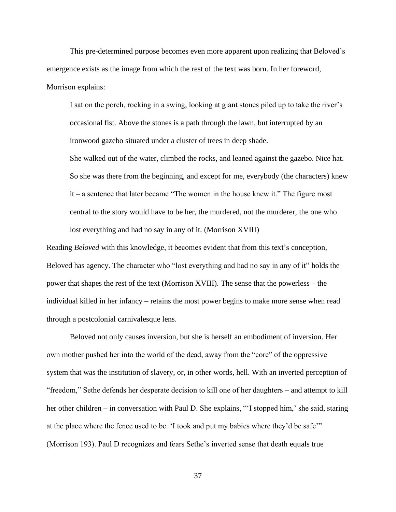This pre-determined purpose becomes even more apparent upon realizing that Beloved's emergence exists as the image from which the rest of the text was born. In her foreword, Morrison explains:

I sat on the porch, rocking in a swing, looking at giant stones piled up to take the river's occasional fist. Above the stones is a path through the lawn, but interrupted by an ironwood gazebo situated under a cluster of trees in deep shade.

She walked out of the water, climbed the rocks, and leaned against the gazebo. Nice hat. So she was there from the beginning, and except for me, everybody (the characters) knew it – a sentence that later became "The women in the house knew it." The figure most central to the story would have to be her, the murdered, not the murderer, the one who lost everything and had no say in any of it. (Morrison XVIII)

Reading *Beloved* with this knowledge, it becomes evident that from this text's conception, Beloved has agency. The character who "lost everything and had no say in any of it" holds the power that shapes the rest of the text (Morrison XVIII). The sense that the powerless – the individual killed in her infancy – retains the most power begins to make more sense when read through a postcolonial carnivalesque lens.

Beloved not only causes inversion, but she is herself an embodiment of inversion. Her own mother pushed her into the world of the dead, away from the "core" of the oppressive system that was the institution of slavery, or, in other words, hell. With an inverted perception of "freedom," Sethe defends her desperate decision to kill one of her daughters – and attempt to kill her other children – in conversation with Paul D. She explains, "'I stopped him,' she said, staring at the place where the fence used to be. 'I took and put my babies where they'd be safe'" (Morrison 193). Paul D recognizes and fears Sethe's inverted sense that death equals true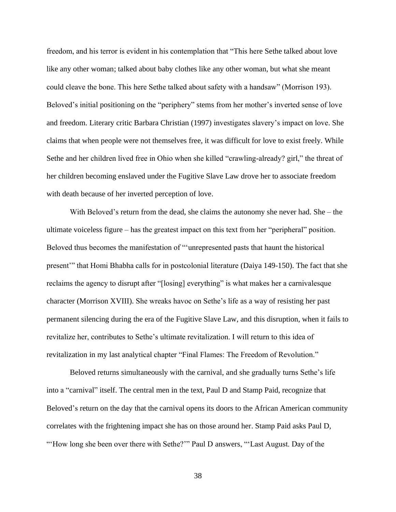freedom, and his terror is evident in his contemplation that "This here Sethe talked about love like any other woman; talked about baby clothes like any other woman, but what she meant could cleave the bone. This here Sethe talked about safety with a handsaw" (Morrison 193). Beloved's initial positioning on the "periphery" stems from her mother's inverted sense of love and freedom. Literary critic Barbara Christian (1997) investigates slavery's impact on love. She claims that when people were not themselves free, it was difficult for love to exist freely. While Sethe and her children lived free in Ohio when she killed "crawling-already? girl," the threat of her children becoming enslaved under the Fugitive Slave Law drove her to associate freedom with death because of her inverted perception of love.

With Beloved's return from the dead, she claims the autonomy she never had. She – the ultimate voiceless figure – has the greatest impact on this text from her "peripheral" position. Beloved thus becomes the manifestation of "'unrepresented pasts that haunt the historical present'" that Homi Bhabha calls for in postcolonial literature (Daiya 149-150). The fact that she reclaims the agency to disrupt after "[losing] everything" is what makes her a carnivalesque character (Morrison XVIII). She wreaks havoc on Sethe's life as a way of resisting her past permanent silencing during the era of the Fugitive Slave Law, and this disruption, when it fails to revitalize her, contributes to Sethe's ultimate revitalization. I will return to this idea of revitalization in my last analytical chapter "Final Flames: The Freedom of Revolution."

Beloved returns simultaneously with the carnival, and she gradually turns Sethe's life into a "carnival" itself. The central men in the text, Paul D and Stamp Paid, recognize that Beloved's return on the day that the carnival opens its doors to the African American community correlates with the frightening impact she has on those around her. Stamp Paid asks Paul D, "'How long she been over there with Sethe?'" Paul D answers, "'Last August. Day of the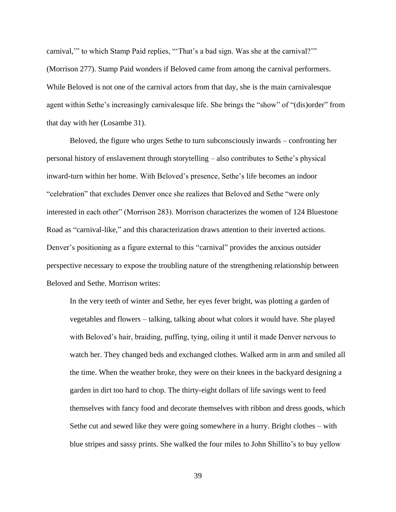carnival,'" to which Stamp Paid replies, "'That's a bad sign. Was she at the carnival?'" (Morrison 277). Stamp Paid wonders if Beloved came from among the carnival performers. While Beloved is not one of the carnival actors from that day, she is the main carnivalesque agent within Sethe's increasingly carnivalesque life. She brings the "show" of "(dis)order" from that day with her (Losambe 31).

Beloved, the figure who urges Sethe to turn subconsciously inwards – confronting her personal history of enslavement through storytelling – also contributes to Sethe's physical inward-turn within her home. With Beloved's presence, Sethe's life becomes an indoor "celebration" that excludes Denver once she realizes that Beloved and Sethe "were only interested in each other" (Morrison 283). Morrison characterizes the women of 124 Bluestone Road as "carnival-like," and this characterization draws attention to their inverted actions. Denver's positioning as a figure external to this "carnival" provides the anxious outsider perspective necessary to expose the troubling nature of the strengthening relationship between Beloved and Sethe. Morrison writes:

In the very teeth of winter and Sethe, her eyes fever bright, was plotting a garden of vegetables and flowers – talking, talking about what colors it would have. She played with Beloved's hair, braiding, puffing, tying, oiling it until it made Denver nervous to watch her. They changed beds and exchanged clothes. Walked arm in arm and smiled all the time. When the weather broke, they were on their knees in the backyard designing a garden in dirt too hard to chop. The thirty-eight dollars of life savings went to feed themselves with fancy food and decorate themselves with ribbon and dress goods, which Sethe cut and sewed like they were going somewhere in a hurry. Bright clothes – with blue stripes and sassy prints. She walked the four miles to John Shillito's to buy yellow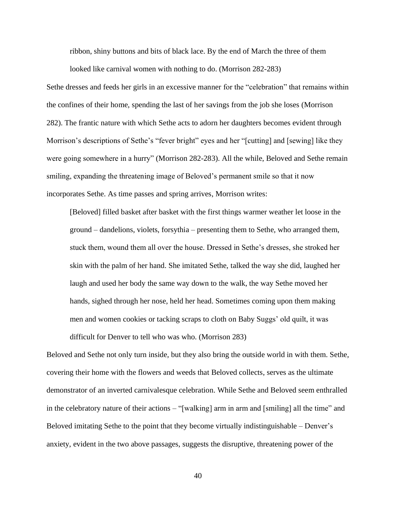ribbon, shiny buttons and bits of black lace. By the end of March the three of them

looked like carnival women with nothing to do. (Morrison 282-283)

Sethe dresses and feeds her girls in an excessive manner for the "celebration" that remains within the confines of their home, spending the last of her savings from the job she loses (Morrison 282). The frantic nature with which Sethe acts to adorn her daughters becomes evident through Morrison's descriptions of Sethe's "fever bright" eyes and her "[cutting] and [sewing] like they were going somewhere in a hurry" (Morrison 282-283). All the while, Beloved and Sethe remain smiling, expanding the threatening image of Beloved's permanent smile so that it now incorporates Sethe. As time passes and spring arrives, Morrison writes:

[Beloved] filled basket after basket with the first things warmer weather let loose in the ground – dandelions, violets, forsythia – presenting them to Sethe, who arranged them, stuck them, wound them all over the house. Dressed in Sethe's dresses, she stroked her skin with the palm of her hand. She imitated Sethe, talked the way she did, laughed her laugh and used her body the same way down to the walk, the way Sethe moved her hands, sighed through her nose, held her head. Sometimes coming upon them making men and women cookies or tacking scraps to cloth on Baby Suggs' old quilt, it was difficult for Denver to tell who was who. (Morrison 283)

Beloved and Sethe not only turn inside, but they also bring the outside world in with them. Sethe, covering their home with the flowers and weeds that Beloved collects, serves as the ultimate demonstrator of an inverted carnivalesque celebration. While Sethe and Beloved seem enthralled in the celebratory nature of their actions – "[walking] arm in arm and [smiling] all the time" and Beloved imitating Sethe to the point that they become virtually indistinguishable – Denver's anxiety, evident in the two above passages, suggests the disruptive, threatening power of the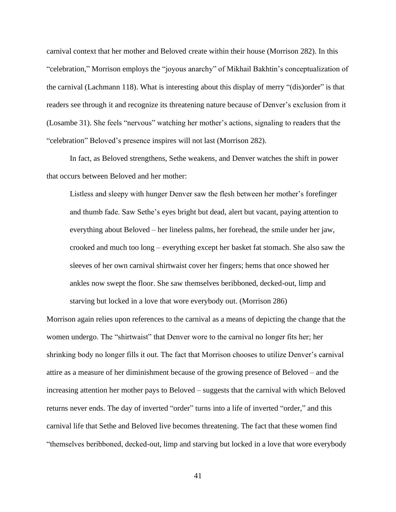carnival context that her mother and Beloved create within their house (Morrison 282). In this "celebration," Morrison employs the "joyous anarchy" of Mikhail Bakhtin's conceptualization of the carnival (Lachmann 118). What is interesting about this display of merry "(dis)order" is that readers see through it and recognize its threatening nature because of Denver's exclusion from it (Losambe 31). She feels "nervous" watching her mother's actions, signaling to readers that the "celebration" Beloved's presence inspires will not last (Morrison 282).

In fact, as Beloved strengthens, Sethe weakens, and Denver watches the shift in power that occurs between Beloved and her mother:

Listless and sleepy with hunger Denver saw the flesh between her mother's forefinger and thumb fade. Saw Sethe's eyes bright but dead, alert but vacant, paying attention to everything about Beloved – her lineless palms, her forehead, the smile under her jaw, crooked and much too long – everything except her basket fat stomach. She also saw the sleeves of her own carnival shirtwaist cover her fingers; hems that once showed her ankles now swept the floor. She saw themselves beribboned, decked-out, limp and starving but locked in a love that wore everybody out. (Morrison 286)

Morrison again relies upon references to the carnival as a means of depicting the change that the women undergo. The "shirtwaist" that Denver wore to the carnival no longer fits her; her shrinking body no longer fills it out. The fact that Morrison chooses to utilize Denver's carnival attire as a measure of her diminishment because of the growing presence of Beloved – and the increasing attention her mother pays to Beloved – suggests that the carnival with which Beloved returns never ends. The day of inverted "order" turns into a life of inverted "order," and this carnival life that Sethe and Beloved live becomes threatening. The fact that these women find "themselves beribboned, decked-out, limp and starving but locked in a love that wore everybody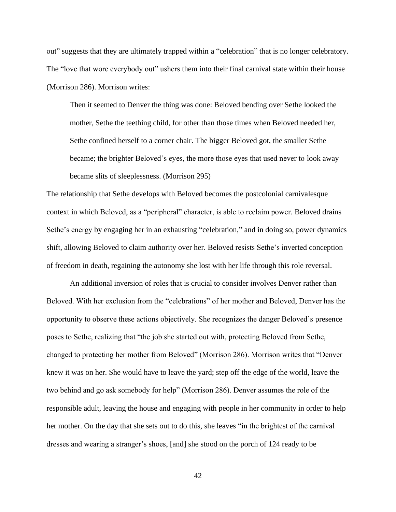out" suggests that they are ultimately trapped within a "celebration" that is no longer celebratory. The "love that wore everybody out" ushers them into their final carnival state within their house (Morrison 286). Morrison writes:

Then it seemed to Denver the thing was done: Beloved bending over Sethe looked the mother, Sethe the teething child, for other than those times when Beloved needed her, Sethe confined herself to a corner chair. The bigger Beloved got, the smaller Sethe became; the brighter Beloved's eyes, the more those eyes that used never to look away became slits of sleeplessness. (Morrison 295)

The relationship that Sethe develops with Beloved becomes the postcolonial carnivalesque context in which Beloved, as a "peripheral" character, is able to reclaim power. Beloved drains Sethe's energy by engaging her in an exhausting "celebration," and in doing so, power dynamics shift, allowing Beloved to claim authority over her. Beloved resists Sethe's inverted conception of freedom in death, regaining the autonomy she lost with her life through this role reversal.

An additional inversion of roles that is crucial to consider involves Denver rather than Beloved. With her exclusion from the "celebrations" of her mother and Beloved, Denver has the opportunity to observe these actions objectively. She recognizes the danger Beloved's presence poses to Sethe, realizing that "the job she started out with, protecting Beloved from Sethe, changed to protecting her mother from Beloved" (Morrison 286). Morrison writes that "Denver knew it was on her. She would have to leave the yard; step off the edge of the world, leave the two behind and go ask somebody for help" (Morrison 286). Denver assumes the role of the responsible adult, leaving the house and engaging with people in her community in order to help her mother. On the day that she sets out to do this, she leaves "in the brightest of the carnival dresses and wearing a stranger's shoes, [and] she stood on the porch of 124 ready to be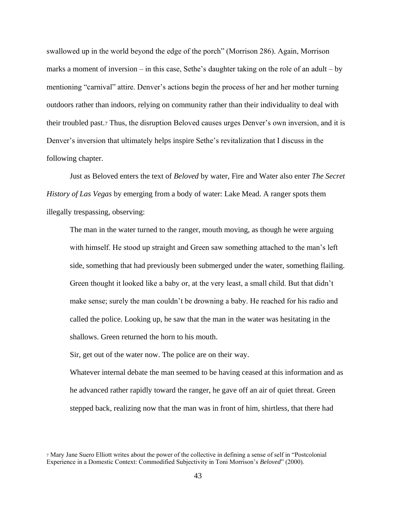swallowed up in the world beyond the edge of the porch" (Morrison 286). Again, Morrison marks a moment of inversion – in this case, Sethe's daughter taking on the role of an adult – by mentioning "carnival" attire. Denver's actions begin the process of her and her mother turning outdoors rather than indoors, relying on community rather than their individuality to deal with their troubled past.<sup>7</sup> Thus, the disruption Beloved causes urges Denver's own inversion, and it is Denver's inversion that ultimately helps inspire Sethe's revitalization that I discuss in the following chapter.

Just as Beloved enters the text of *Beloved* by water, Fire and Water also enter *The Secret History of Las Vegas* by emerging from a body of water: Lake Mead. A ranger spots them illegally trespassing, observing:

The man in the water turned to the ranger, mouth moving, as though he were arguing with himself. He stood up straight and Green saw something attached to the man's left side, something that had previously been submerged under the water, something flailing. Green thought it looked like a baby or, at the very least, a small child. But that didn't make sense; surely the man couldn't be drowning a baby. He reached for his radio and called the police. Looking up, he saw that the man in the water was hesitating in the shallows. Green returned the horn to his mouth.

Sir, get out of the water now. The police are on their way.

Whatever internal debate the man seemed to be having ceased at this information and as he advanced rather rapidly toward the ranger, he gave off an air of quiet threat. Green stepped back, realizing now that the man was in front of him, shirtless, that there had

<sup>7</sup> Mary Jane Suero Elliott writes about the power of the collective in defining a sense of self in "Postcolonial Experience in a Domestic Context: Commodified Subjectivity in Toni Morrison's *Beloved*" (2000).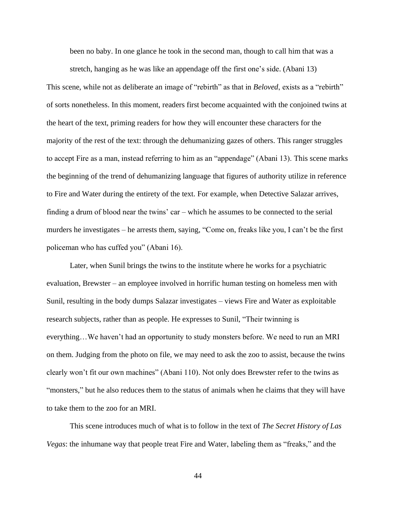been no baby. In one glance he took in the second man, though to call him that was a

stretch, hanging as he was like an appendage off the first one's side. (Abani 13) This scene, while not as deliberate an image of "rebirth" as that in *Beloved*, exists as a "rebirth" of sorts nonetheless. In this moment, readers first become acquainted with the conjoined twins at the heart of the text, priming readers for how they will encounter these characters for the majority of the rest of the text: through the dehumanizing gazes of others. This ranger struggles to accept Fire as a man, instead referring to him as an "appendage" (Abani 13). This scene marks the beginning of the trend of dehumanizing language that figures of authority utilize in reference to Fire and Water during the entirety of the text. For example, when Detective Salazar arrives, finding a drum of blood near the twins' car – which he assumes to be connected to the serial murders he investigates – he arrests them, saying, "Come on, freaks like you, I can't be the first policeman who has cuffed you" (Abani 16).

Later, when Sunil brings the twins to the institute where he works for a psychiatric evaluation, Brewster – an employee involved in horrific human testing on homeless men with Sunil, resulting in the body dumps Salazar investigates – views Fire and Water as exploitable research subjects, rather than as people. He expresses to Sunil, "Their twinning is everything…We haven't had an opportunity to study monsters before. We need to run an MRI on them. Judging from the photo on file, we may need to ask the zoo to assist, because the twins clearly won't fit our own machines" (Abani 110). Not only does Brewster refer to the twins as "monsters," but he also reduces them to the status of animals when he claims that they will have to take them to the zoo for an MRI.

This scene introduces much of what is to follow in the text of *The Secret History of Las Vegas*: the inhumane way that people treat Fire and Water, labeling them as "freaks," and the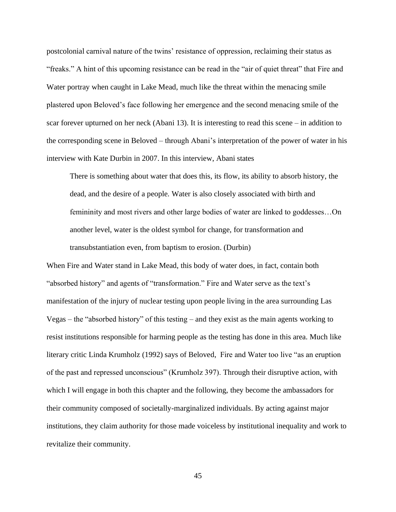postcolonial carnival nature of the twins' resistance of oppression, reclaiming their status as "freaks." A hint of this upcoming resistance can be read in the "air of quiet threat" that Fire and Water portray when caught in Lake Mead, much like the threat within the menacing smile plastered upon Beloved's face following her emergence and the second menacing smile of the scar forever upturned on her neck (Abani 13). It is interesting to read this scene – in addition to the corresponding scene in Beloved – through Abani's interpretation of the power of water in his interview with Kate Durbin in 2007. In this interview, Abani states

There is something about water that does this, its flow, its ability to absorb history, the dead, and the desire of a people. Water is also closely associated with birth and femininity and most rivers and other large bodies of water are linked to goddesses…On another level, water is the oldest symbol for change, for transformation and transubstantiation even, from baptism to erosion. (Durbin)

When Fire and Water stand in Lake Mead, this body of water does, in fact, contain both "absorbed history" and agents of "transformation." Fire and Water serve as the text's manifestation of the injury of nuclear testing upon people living in the area surrounding Las Vegas – the "absorbed history" of this testing – and they exist as the main agents working to resist institutions responsible for harming people as the testing has done in this area. Much like literary critic Linda Krumholz (1992) says of Beloved, Fire and Water too live "as an eruption of the past and repressed unconscious" (Krumholz 397). Through their disruptive action, with which I will engage in both this chapter and the following, they become the ambassadors for their community composed of societally-marginalized individuals. By acting against major institutions, they claim authority for those made voiceless by institutional inequality and work to revitalize their community.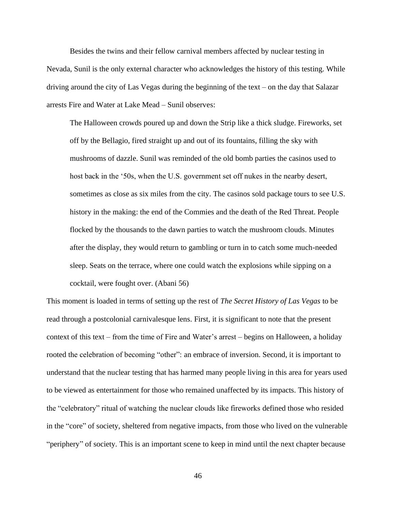Besides the twins and their fellow carnival members affected by nuclear testing in Nevada, Sunil is the only external character who acknowledges the history of this testing. While driving around the city of Las Vegas during the beginning of the text – on the day that Salazar arrests Fire and Water at Lake Mead – Sunil observes:

The Halloween crowds poured up and down the Strip like a thick sludge. Fireworks, set off by the Bellagio, fired straight up and out of its fountains, filling the sky with mushrooms of dazzle. Sunil was reminded of the old bomb parties the casinos used to host back in the '50s, when the U.S. government set off nukes in the nearby desert, sometimes as close as six miles from the city. The casinos sold package tours to see U.S. history in the making: the end of the Commies and the death of the Red Threat. People flocked by the thousands to the dawn parties to watch the mushroom clouds. Minutes after the display, they would return to gambling or turn in to catch some much-needed sleep. Seats on the terrace, where one could watch the explosions while sipping on a cocktail, were fought over. (Abani 56)

This moment is loaded in terms of setting up the rest of *The Secret History of Las Vegas* to be read through a postcolonial carnivalesque lens. First, it is significant to note that the present context of this text – from the time of Fire and Water's arrest – begins on Halloween, a holiday rooted the celebration of becoming "other": an embrace of inversion. Second, it is important to understand that the nuclear testing that has harmed many people living in this area for years used to be viewed as entertainment for those who remained unaffected by its impacts. This history of the "celebratory" ritual of watching the nuclear clouds like fireworks defined those who resided in the "core" of society, sheltered from negative impacts, from those who lived on the vulnerable "periphery" of society. This is an important scene to keep in mind until the next chapter because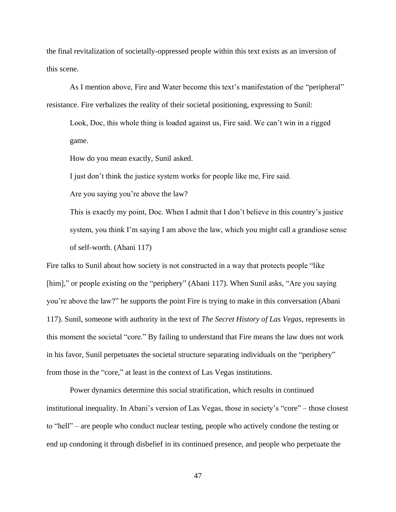the final revitalization of societally-oppressed people within this text exists as an inversion of this scene.

As I mention above, Fire and Water become this text's manifestation of the "peripheral" resistance. Fire verbalizes the reality of their societal positioning, expressing to Sunil:

Look, Doc, this whole thing is loaded against us, Fire said. We can't win in a rigged game.

How do you mean exactly, Sunil asked.

I just don't think the justice system works for people like me, Fire said.

Are you saying you're above the law?

This is exactly my point, Doc. When I admit that I don't believe in this country's justice system, you think I'm saying I am above the law, which you might call a grandiose sense of self-worth. (Abani 117)

Fire talks to Sunil about how society is not constructed in a way that protects people "like [him]," or people existing on the "periphery" (Abani 117). When Sunil asks, "Are you saying you're above the law?" he supports the point Fire is trying to make in this conversation (Abani 117). Sunil, someone with authority in the text of *The Secret History of Las Vegas*, represents in this moment the societal "core." By failing to understand that Fire means the law does not work in his favor, Sunil perpetuates the societal structure separating individuals on the "periphery" from those in the "core," at least in the context of Las Vegas institutions.

Power dynamics determine this social stratification, which results in continued institutional inequality. In Abani's version of Las Vegas, those in society's "core" – those closest to "hell" – are people who conduct nuclear testing, people who actively condone the testing or end up condoning it through disbelief in its continued presence, and people who perpetuate the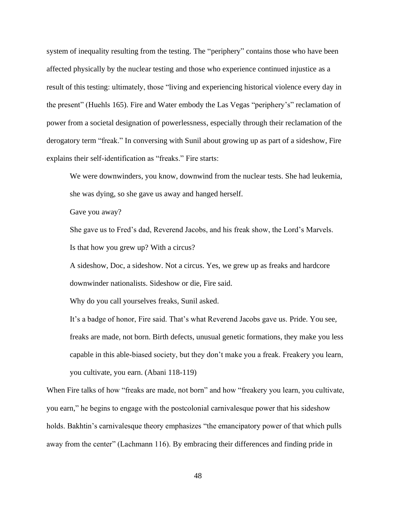system of inequality resulting from the testing. The "periphery" contains those who have been affected physically by the nuclear testing and those who experience continued injustice as a result of this testing: ultimately, those "living and experiencing historical violence every day in the present" (Huehls 165). Fire and Water embody the Las Vegas "periphery's" reclamation of power from a societal designation of powerlessness, especially through their reclamation of the derogatory term "freak." In conversing with Sunil about growing up as part of a sideshow, Fire explains their self-identification as "freaks." Fire starts:

We were downwinders, you know, downwind from the nuclear tests. She had leukemia, she was dying, so she gave us away and hanged herself.

Gave you away?

She gave us to Fred's dad, Reverend Jacobs, and his freak show, the Lord's Marvels. Is that how you grew up? With a circus?

A sideshow, Doc, a sideshow. Not a circus. Yes, we grew up as freaks and hardcore downwinder nationalists. Sideshow or die, Fire said.

Why do you call yourselves freaks, Sunil asked.

It's a badge of honor, Fire said. That's what Reverend Jacobs gave us. Pride. You see, freaks are made, not born. Birth defects, unusual genetic formations, they make you less capable in this able-biased society, but they don't make you a freak. Freakery you learn, you cultivate, you earn. (Abani 118-119)

When Fire talks of how "freaks are made, not born" and how "freakery you learn, you cultivate, you earn," he begins to engage with the postcolonial carnivalesque power that his sideshow holds. Bakhtin's carnivalesque theory emphasizes "the emancipatory power of that which pulls away from the center" (Lachmann 116). By embracing their differences and finding pride in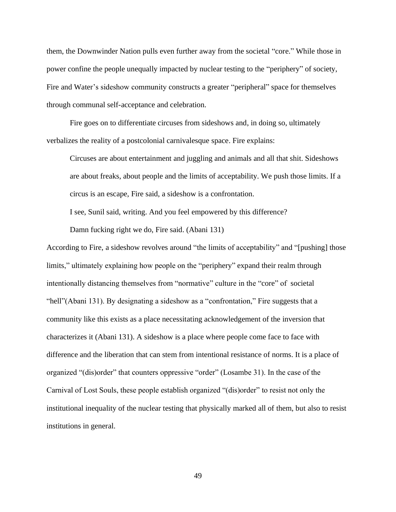them, the Downwinder Nation pulls even further away from the societal "core." While those in power confine the people unequally impacted by nuclear testing to the "periphery" of society, Fire and Water's sideshow community constructs a greater "peripheral" space for themselves through communal self-acceptance and celebration.

Fire goes on to differentiate circuses from sideshows and, in doing so, ultimately verbalizes the reality of a postcolonial carnivalesque space. Fire explains:

Circuses are about entertainment and juggling and animals and all that shit. Sideshows are about freaks, about people and the limits of acceptability. We push those limits. If a circus is an escape, Fire said, a sideshow is a confrontation.

I see, Sunil said, writing. And you feel empowered by this difference?

Damn fucking right we do, Fire said. (Abani 131)

According to Fire, a sideshow revolves around "the limits of acceptability" and "[pushing] those limits," ultimately explaining how people on the "periphery" expand their realm through intentionally distancing themselves from "normative" culture in the "core" of societal "hell"(Abani 131). By designating a sideshow as a "confrontation," Fire suggests that a community like this exists as a place necessitating acknowledgement of the inversion that characterizes it (Abani 131). A sideshow is a place where people come face to face with difference and the liberation that can stem from intentional resistance of norms. It is a place of organized "(dis)order" that counters oppressive "order" (Losambe 31). In the case of the Carnival of Lost Souls, these people establish organized "(dis)order" to resist not only the institutional inequality of the nuclear testing that physically marked all of them, but also to resist institutions in general.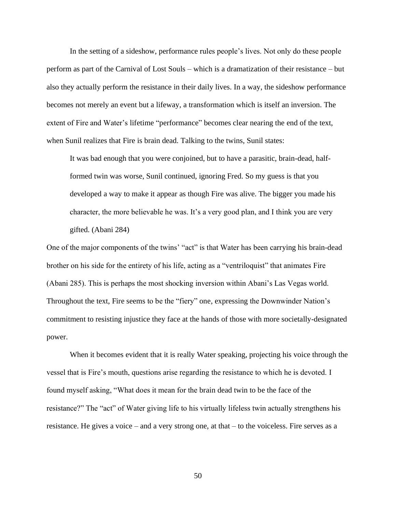In the setting of a sideshow, performance rules people's lives. Not only do these people perform as part of the Carnival of Lost Souls – which is a dramatization of their resistance – but also they actually perform the resistance in their daily lives. In a way, the sideshow performance becomes not merely an event but a lifeway, a transformation which is itself an inversion. The extent of Fire and Water's lifetime "performance" becomes clear nearing the end of the text, when Sunil realizes that Fire is brain dead. Talking to the twins, Sunil states:

It was bad enough that you were conjoined, but to have a parasitic, brain-dead, halfformed twin was worse, Sunil continued, ignoring Fred. So my guess is that you developed a way to make it appear as though Fire was alive. The bigger you made his character, the more believable he was. It's a very good plan, and I think you are very gifted. (Abani 284)

One of the major components of the twins' "act" is that Water has been carrying his brain-dead brother on his side for the entirety of his life, acting as a "ventriloquist" that animates Fire (Abani 285). This is perhaps the most shocking inversion within Abani's Las Vegas world. Throughout the text, Fire seems to be the "fiery" one, expressing the Downwinder Nation's commitment to resisting injustice they face at the hands of those with more societally-designated power.

When it becomes evident that it is really Water speaking, projecting his voice through the vessel that is Fire's mouth, questions arise regarding the resistance to which he is devoted. I found myself asking, "What does it mean for the brain dead twin to be the face of the resistance?" The "act" of Water giving life to his virtually lifeless twin actually strengthens his resistance. He gives a voice – and a very strong one, at that – to the voiceless. Fire serves as a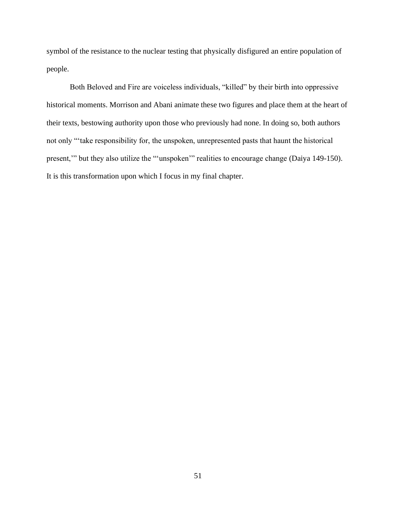symbol of the resistance to the nuclear testing that physically disfigured an entire population of people.

Both Beloved and Fire are voiceless individuals, "killed" by their birth into oppressive historical moments. Morrison and Abani animate these two figures and place them at the heart of their texts, bestowing authority upon those who previously had none. In doing so, both authors not only "'take responsibility for, the unspoken, unrepresented pasts that haunt the historical present,'" but they also utilize the "'unspoken'" realities to encourage change (Daiya 149-150). It is this transformation upon which I focus in my final chapter.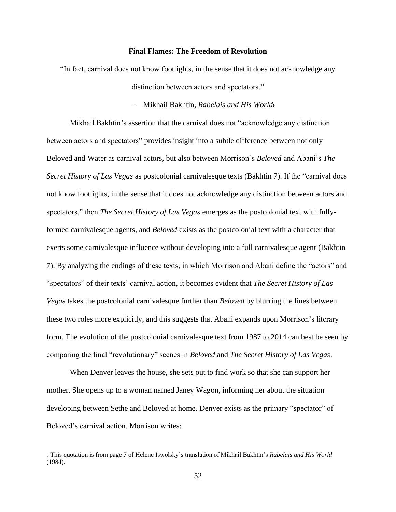#### **Final Flames: The Freedom of Revolution**

"In fact, carnival does not know footlights, in the sense that it does not acknowledge any distinction between actors and spectators."

– Mikhail Bakhtin, *Rabelais and His World*<sup>8</sup>

Mikhail Bakhtin's assertion that the carnival does not "acknowledge any distinction between actors and spectators" provides insight into a subtle difference between not only Beloved and Water as carnival actors, but also between Morrison's *Beloved* and Abani's *The Secret History of Las Vegas* as postcolonial carnivalesque texts (Bakhtin 7). If the "carnival does not know footlights, in the sense that it does not acknowledge any distinction between actors and spectators," then *The Secret History of Las Vegas* emerges as the postcolonial text with fullyformed carnivalesque agents, and *Beloved* exists as the postcolonial text with a character that exerts some carnivalesque influence without developing into a full carnivalesque agent (Bakhtin 7). By analyzing the endings of these texts, in which Morrison and Abani define the "actors" and "spectators" of their texts' carnival action, it becomes evident that *The Secret History of Las Vegas* takes the postcolonial carnivalesque further than *Beloved* by blurring the lines between these two roles more explicitly, and this suggests that Abani expands upon Morrison's literary form. The evolution of the postcolonial carnivalesque text from 1987 to 2014 can best be seen by comparing the final "revolutionary" scenes in *Beloved* and *The Secret History of Las Vegas*.

When Denver leaves the house, she sets out to find work so that she can support her mother. She opens up to a woman named Janey Wagon, informing her about the situation developing between Sethe and Beloved at home. Denver exists as the primary "spectator" of Beloved's carnival action. Morrison writes:

<sup>8</sup> This quotation is from page 7 of Helene Iswolsky's translation of Mikhail Bakhtin's *Rabelais and His World* (1984).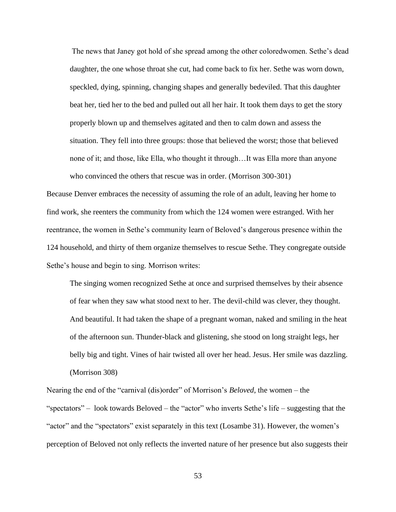The news that Janey got hold of she spread among the other coloredwomen. Sethe's dead daughter, the one whose throat she cut, had come back to fix her. Sethe was worn down, speckled, dying, spinning, changing shapes and generally bedeviled. That this daughter beat her, tied her to the bed and pulled out all her hair. It took them days to get the story properly blown up and themselves agitated and then to calm down and assess the situation. They fell into three groups: those that believed the worst; those that believed none of it; and those, like Ella, who thought it through…It was Ella more than anyone who convinced the others that rescue was in order. (Morrison 300-301)

Because Denver embraces the necessity of assuming the role of an adult, leaving her home to find work, she reenters the community from which the 124 women were estranged. With her reentrance, the women in Sethe's community learn of Beloved's dangerous presence within the 124 household, and thirty of them organize themselves to rescue Sethe. They congregate outside Sethe's house and begin to sing. Morrison writes:

The singing women recognized Sethe at once and surprised themselves by their absence of fear when they saw what stood next to her. The devil-child was clever, they thought. And beautiful. It had taken the shape of a pregnant woman, naked and smiling in the heat of the afternoon sun. Thunder-black and glistening, she stood on long straight legs, her belly big and tight. Vines of hair twisted all over her head. Jesus. Her smile was dazzling. (Morrison 308)

Nearing the end of the "carnival (dis)order" of Morrison's *Beloved*, the women – the "spectators" – look towards Beloved – the "actor" who inverts Sethe's life – suggesting that the "actor" and the "spectators" exist separately in this text (Losambe 31). However, the women's perception of Beloved not only reflects the inverted nature of her presence but also suggests their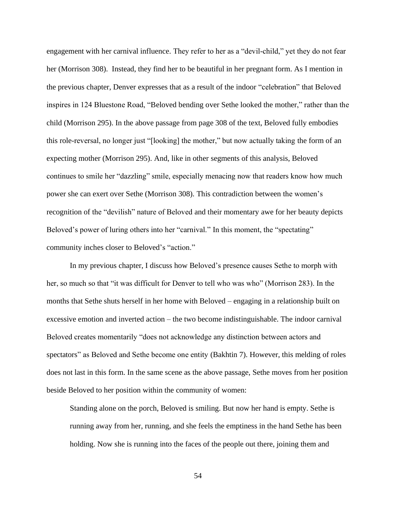engagement with her carnival influence. They refer to her as a "devil-child," yet they do not fear her (Morrison 308). Instead, they find her to be beautiful in her pregnant form. As I mention in the previous chapter, Denver expresses that as a result of the indoor "celebration" that Beloved inspires in 124 Bluestone Road, "Beloved bending over Sethe looked the mother," rather than the child (Morrison 295). In the above passage from page 308 of the text, Beloved fully embodies this role-reversal, no longer just "[looking] the mother," but now actually taking the form of an expecting mother (Morrison 295). And, like in other segments of this analysis, Beloved continues to smile her "dazzling" smile, especially menacing now that readers know how much power she can exert over Sethe (Morrison 308). This contradiction between the women's recognition of the "devilish" nature of Beloved and their momentary awe for her beauty depicts Beloved's power of luring others into her "carnival." In this moment, the "spectating" community inches closer to Beloved's "action."

In my previous chapter, I discuss how Beloved's presence causes Sethe to morph with her, so much so that "it was difficult for Denver to tell who was who" (Morrison 283). In the months that Sethe shuts herself in her home with Beloved – engaging in a relationship built on excessive emotion and inverted action – the two become indistinguishable. The indoor carnival Beloved creates momentarily "does not acknowledge any distinction between actors and spectators" as Beloved and Sethe become one entity (Bakhtin 7). However, this melding of roles does not last in this form. In the same scene as the above passage, Sethe moves from her position beside Beloved to her position within the community of women:

Standing alone on the porch, Beloved is smiling. But now her hand is empty. Sethe is running away from her, running, and she feels the emptiness in the hand Sethe has been holding. Now she is running into the faces of the people out there, joining them and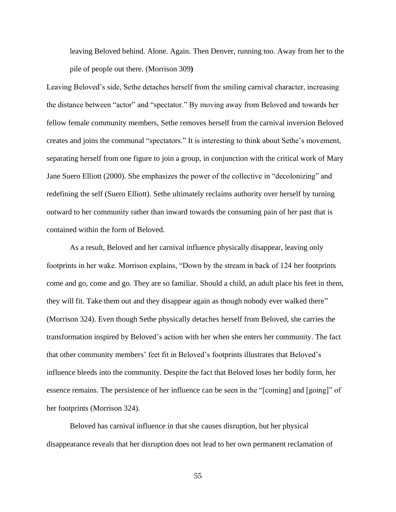leaving Beloved behind. Alone. Again. Then Denver, running too. Away from her to the pile of people out there. (Morrison 309**)**

Leaving Beloved's side, Sethe detaches herself from the smiling carnival character, increasing the distance between "actor" and "spectator." By moving away from Beloved and towards her fellow female community members, Sethe removes herself from the carnival inversion Beloved creates and joins the communal "spectators." It is interesting to think about Sethe's movement, separating herself from one figure to join a group, in conjunction with the critical work of Mary Jane Suero Elliott (2000). She emphasizes the power of the collective in "decolonizing" and redefining the self (Suero Elliott). Sethe ultimately reclaims authority over herself by turning outward to her community rather than inward towards the consuming pain of her past that is contained within the form of Beloved.

As a result, Beloved and her carnival influence physically disappear, leaving only footprints in her wake. Morrison explains, "Down by the stream in back of 124 her footprints come and go, come and go. They are so familiar. Should a child, an adult place his feet in them, they will fit. Take them out and they disappear again as though nobody ever walked there" (Morrison 324). Even though Sethe physically detaches herself from Beloved, she carries the transformation inspired by Beloved's action with her when she enters her community. The fact that other community members' feet fit in Beloved's footprints illustrates that Beloved's influence bleeds into the community. Despite the fact that Beloved loses her bodily form, her essence remains. The persistence of her influence can be seen in the "[coming] and [going]" of her footprints (Morrison 324).

Beloved has carnival influence in that she causes disruption, but her physical disappearance reveals that her disruption does not lead to her own permanent reclamation of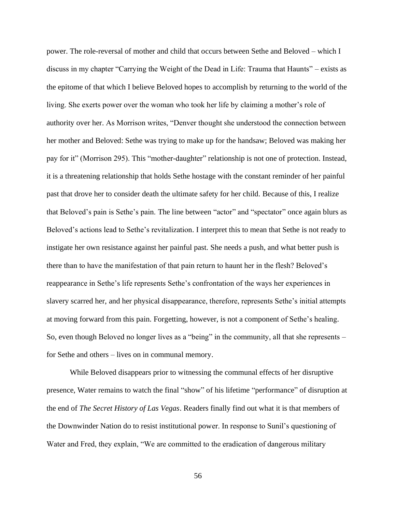power. The role-reversal of mother and child that occurs between Sethe and Beloved – which I discuss in my chapter "Carrying the Weight of the Dead in Life: Trauma that Haunts" – exists as the epitome of that which I believe Beloved hopes to accomplish by returning to the world of the living. She exerts power over the woman who took her life by claiming a mother's role of authority over her. As Morrison writes, "Denver thought she understood the connection between her mother and Beloved: Sethe was trying to make up for the handsaw; Beloved was making her pay for it" (Morrison 295). This "mother-daughter" relationship is not one of protection. Instead, it is a threatening relationship that holds Sethe hostage with the constant reminder of her painful past that drove her to consider death the ultimate safety for her child. Because of this, I realize that Beloved's pain is Sethe's pain. The line between "actor" and "spectator" once again blurs as Beloved's actions lead to Sethe's revitalization. I interpret this to mean that Sethe is not ready to instigate her own resistance against her painful past. She needs a push, and what better push is there than to have the manifestation of that pain return to haunt her in the flesh? Beloved's reappearance in Sethe's life represents Sethe's confrontation of the ways her experiences in slavery scarred her, and her physical disappearance, therefore, represents Sethe's initial attempts at moving forward from this pain. Forgetting, however, is not a component of Sethe's healing. So, even though Beloved no longer lives as a "being" in the community, all that she represents – for Sethe and others – lives on in communal memory.

While Beloved disappears prior to witnessing the communal effects of her disruptive presence, Water remains to watch the final "show" of his lifetime "performance" of disruption at the end of *The Secret History of Las Vegas*. Readers finally find out what it is that members of the Downwinder Nation do to resist institutional power. In response to Sunil's questioning of Water and Fred, they explain, "We are committed to the eradication of dangerous military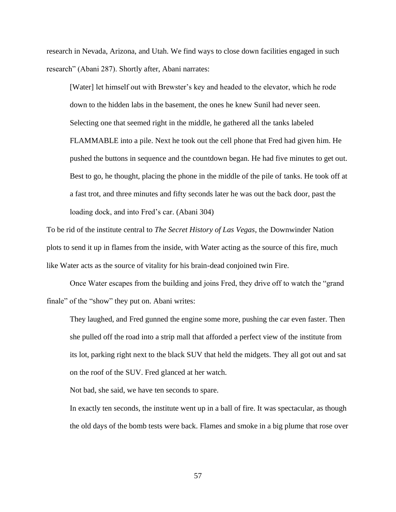research in Nevada, Arizona, and Utah. We find ways to close down facilities engaged in such research" (Abani 287). Shortly after, Abani narrates:

[Water] let himself out with Brewster's key and headed to the elevator, which he rode down to the hidden labs in the basement, the ones he knew Sunil had never seen. Selecting one that seemed right in the middle, he gathered all the tanks labeled FLAMMABLE into a pile. Next he took out the cell phone that Fred had given him. He pushed the buttons in sequence and the countdown began. He had five minutes to get out. Best to go, he thought, placing the phone in the middle of the pile of tanks. He took off at a fast trot, and three minutes and fifty seconds later he was out the back door, past the loading dock, and into Fred's car. (Abani 304)

To be rid of the institute central to *The Secret History of Las Vegas*, the Downwinder Nation plots to send it up in flames from the inside, with Water acting as the source of this fire, much like Water acts as the source of vitality for his brain-dead conjoined twin Fire.

Once Water escapes from the building and joins Fred, they drive off to watch the "grand finale" of the "show" they put on. Abani writes:

They laughed, and Fred gunned the engine some more, pushing the car even faster. Then she pulled off the road into a strip mall that afforded a perfect view of the institute from its lot, parking right next to the black SUV that held the midgets. They all got out and sat on the roof of the SUV. Fred glanced at her watch.

Not bad, she said, we have ten seconds to spare.

In exactly ten seconds, the institute went up in a ball of fire. It was spectacular, as though the old days of the bomb tests were back. Flames and smoke in a big plume that rose over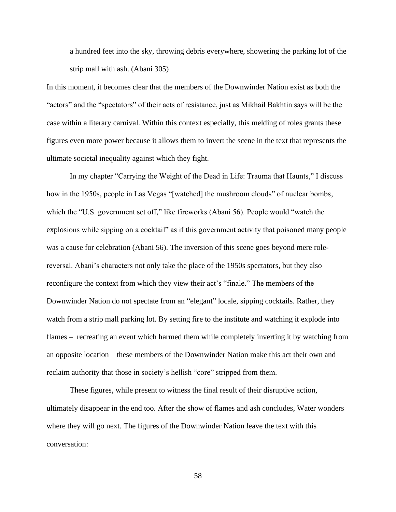a hundred feet into the sky, throwing debris everywhere, showering the parking lot of the strip mall with ash. (Abani 305)

In this moment, it becomes clear that the members of the Downwinder Nation exist as both the "actors" and the "spectators" of their acts of resistance, just as Mikhail Bakhtin says will be the case within a literary carnival. Within this context especially, this melding of roles grants these figures even more power because it allows them to invert the scene in the text that represents the ultimate societal inequality against which they fight.

In my chapter "Carrying the Weight of the Dead in Life: Trauma that Haunts," I discuss how in the 1950s, people in Las Vegas "[watched] the mushroom clouds" of nuclear bombs, which the "U.S. government set off," like fireworks (Abani 56). People would "watch the explosions while sipping on a cocktail" as if this government activity that poisoned many people was a cause for celebration (Abani 56). The inversion of this scene goes beyond mere rolereversal. Abani's characters not only take the place of the 1950s spectators, but they also reconfigure the context from which they view their act's "finale." The members of the Downwinder Nation do not spectate from an "elegant" locale, sipping cocktails. Rather, they watch from a strip mall parking lot. By setting fire to the institute and watching it explode into flames – recreating an event which harmed them while completely inverting it by watching from an opposite location – these members of the Downwinder Nation make this act their own and reclaim authority that those in society's hellish "core" stripped from them.

These figures, while present to witness the final result of their disruptive action, ultimately disappear in the end too. After the show of flames and ash concludes, Water wonders where they will go next. The figures of the Downwinder Nation leave the text with this conversation: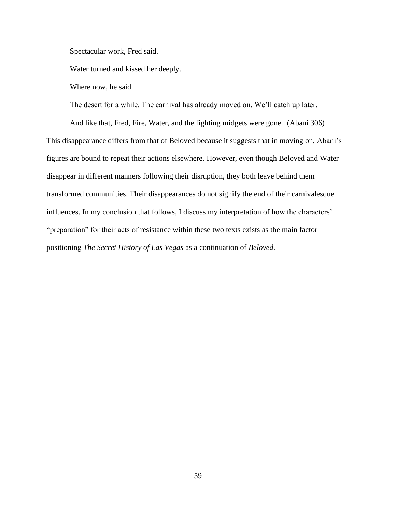Spectacular work, Fred said.

Water turned and kissed her deeply.

Where now, he said.

The desert for a while. The carnival has already moved on. We'll catch up later.

And like that, Fred, Fire, Water, and the fighting midgets were gone. (Abani 306) This disappearance differs from that of Beloved because it suggests that in moving on, Abani's figures are bound to repeat their actions elsewhere. However, even though Beloved and Water disappear in different manners following their disruption, they both leave behind them transformed communities. Their disappearances do not signify the end of their carnivalesque influences. In my conclusion that follows, I discuss my interpretation of how the characters' "preparation" for their acts of resistance within these two texts exists as the main factor positioning *The Secret History of Las Vegas* as a continuation of *Beloved*.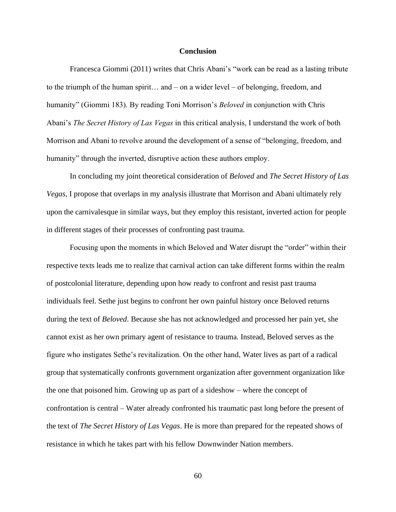#### **Conclusion**

Francesca Giommi (2011) writes that Chris Abani's "work can be read as a lasting tribute to the triumph of the human spirit… and – on a wider level – of belonging, freedom, and humanity" (Giommi 183). By reading Toni Morrison's *Beloved* in conjunction with Chris Abani's *The Secret History of Las Vegas* in this critical analysis, I understand the work of both Morrison and Abani to revolve around the development of a sense of "belonging, freedom, and humanity" through the inverted, disruptive action these authors employ.

In concluding my joint theoretical consideration of *Beloved* and *The Secret History of Las Vegas*, I propose that overlaps in my analysis illustrate that Morrison and Abani ultimately rely upon the carnivalesque in similar ways, but they employ this resistant, inverted action for people in different stages of their processes of confronting past trauma.

Focusing upon the moments in which Beloved and Water disrupt the "order" within their respective texts leads me to realize that carnival action can take different forms within the realm of postcolonial literature, depending upon how ready to confront and resist past trauma individuals feel. Sethe just begins to confront her own painful history once Beloved returns during the text of *Beloved*. Because she has not acknowledged and processed her pain yet, she cannot exist as her own primary agent of resistance to trauma. Instead, Beloved serves as the figure who instigates Sethe's revitalization. On the other hand, Water lives as part of a radical group that systematically confronts government organization after government organization like the one that poisoned him. Growing up as part of a sideshow – where the concept of confrontation is central – Water already confronted his traumatic past long before the present of the text of *The Secret History of Las Vegas*. He is more than prepared for the repeated shows of resistance in which he takes part with his fellow Downwinder Nation members.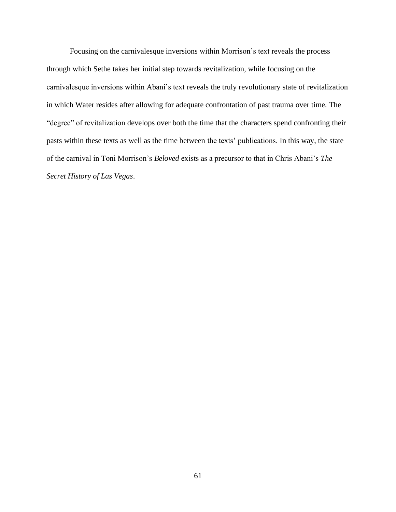Focusing on the carnivalesque inversions within Morrison's text reveals the process through which Sethe takes her initial step towards revitalization, while focusing on the carnivalesque inversions within Abani's text reveals the truly revolutionary state of revitalization in which Water resides after allowing for adequate confrontation of past trauma over time. The "degree" of revitalization develops over both the time that the characters spend confronting their pasts within these texts as well as the time between the texts' publications. In this way, the state of the carnival in Toni Morrison's *Beloved* exists as a precursor to that in Chris Abani's *The Secret History of Las Vegas*.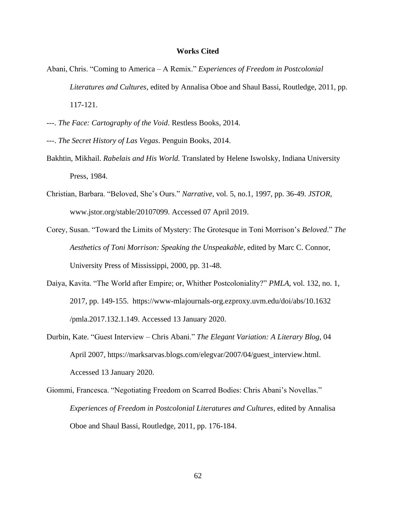#### **Works Cited**

- Abani, Chris. "Coming to America A Remix." *Experiences of Freedom in Postcolonial Literatures and Cultures*, edited by Annalisa Oboe and Shaul Bassi, Routledge, 2011, pp. 117-121.
- ---. *The Face: Cartography of the Void*. Restless Books, 2014.
- ---. *The Secret History of Las Vegas*. Penguin Books, 2014.
- Bakhtin, Mikhail. *Rabelais and His World.* Translated by Helene Iswolsky, Indiana University Press, 1984.
- Christian, Barbara. "Beloved, She's Ours." *Narrative*, vol. 5, no.1, 1997, pp. 36-49. *JSTOR,* www.jstor.org/stable/20107099. Accessed 07 April 2019.
- Corey, Susan. "Toward the Limits of Mystery: The Grotesque in Toni Morrison's *Beloved*." *The Aesthetics of Toni Morrison: Speaking the Unspeakable*, edited by Marc C. Connor, University Press of Mississippi, 2000, pp. 31-48.
- Daiya, Kavita. "The World after Empire; or, Whither Postcoloniality?" *PMLA*, vol. 132, no. 1, 2017, pp. 149-155. https://www-mlajournals-org.ezproxy.uvm.edu/doi/abs/10.1632 /pmla.2017.132.1.149. Accessed 13 January 2020.
- Durbin, Kate. "Guest Interview Chris Abani." *The Elegant Variation: A Literary Blog*, 04 April 2007, https://marksarvas.blogs.com/elegvar/2007/04/guest\_interview.html. Accessed 13 January 2020.
- Giommi, Francesca. "Negotiating Freedom on Scarred Bodies: Chris Abani's Novellas." *Experiences of Freedom in Postcolonial Literatures and Cultures*, edited by Annalisa Oboe and Shaul Bassi, Routledge, 2011, pp. 176-184.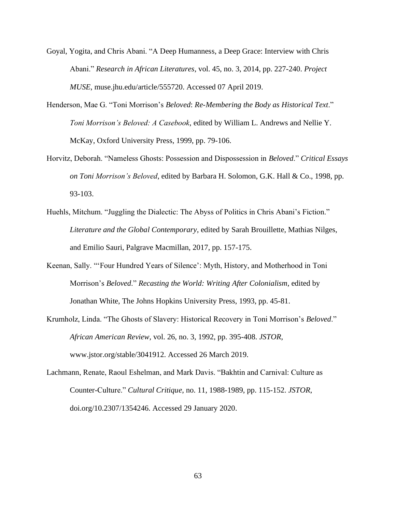- Goyal, Yogita, and Chris Abani. "A Deep Humanness, a Deep Grace: Interview with Chris Abani." *Research in African Literatures*, vol. 45, no. 3, 2014, pp. 227-240. *Project MUSE*, muse.jhu.edu/article/555720. Accessed 07 April 2019.
- Henderson, Mae G. "Toni Morrison's *Beloved*: *Re-Membering the Body as Historical Text*." *Toni Morrison's Beloved: A Casebook*, edited by William L. Andrews and Nellie Y. McKay, Oxford University Press, 1999, pp. 79-106.
- Horvitz, Deborah. "Nameless Ghosts: Possession and Dispossession in *Beloved*." *Critical Essays on Toni Morrison's Beloved*, edited by Barbara H. Solomon, G.K. Hall & Co., 1998, pp. 93-103.
- Huehls, Mitchum. "Juggling the Dialectic: The Abyss of Politics in Chris Abani's Fiction." *Literature and the Global Contemporary*, edited by Sarah Brouillette, Mathias Nilges, and Emilio Sauri, Palgrave Macmillan, 2017, pp. 157-175.
- Keenan, Sally. "'Four Hundred Years of Silence': Myth, History, and Motherhood in Toni Morrison's *Beloved*." *Recasting the World: Writing After Colonialism*, edited by Jonathan White, The Johns Hopkins University Press, 1993, pp. 45-81.
- Krumholz, Linda. "The Ghosts of Slavery: Historical Recovery in Toni Morrison's *Beloved*." *African American Review*, vol. 26, no. 3, 1992, pp. 395-408. *JSTOR*, www.jstor.org/stable/3041912. Accessed 26 March 2019.
- Lachmann, Renate, Raoul Eshelman, and Mark Davis. "Bakhtin and Carnival: Culture as Counter-Culture." *Cultural Critique*, no. 11, 1988-1989, pp. 115-152. *JSTOR*, doi.org/10.2307/1354246. Accessed 29 January 2020.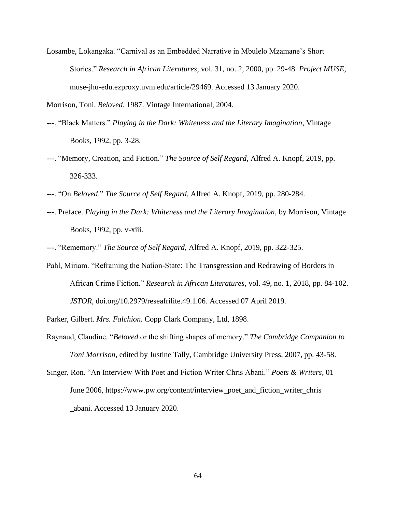Losambe, Lokangaka. "Carnival as an Embedded Narrative in Mbulelo Mzamane's Short Stories." *Research in African Literatures*, vol. 31, no. 2, 2000, pp. 29-48. *Project MUSE*, muse-jhu-edu.ezproxy.uvm.edu/article/29469. Accessed 13 January 2020.

Morrison, Toni. *Beloved*. 1987. Vintage International, 2004.

- ---. "Black Matters." *Playing in the Dark: Whiteness and the Literary Imagination*, Vintage Books, 1992, pp. 3-28.
- ---. "Memory, Creation, and Fiction." *The Source of Self Regard*, Alfred A. Knopf, 2019, pp. 326-333.
- ---. "On *Beloved*." *The Source of Self Regard*, Alfred A. Knopf, 2019, pp. 280-284.
- ---. Preface. *Playing in the Dark: Whiteness and the Literary Imagination*, by Morrison, Vintage Books, 1992, pp. v-xiii.
- ---. "Rememory." *The Source of Self Regard*, Alfred A. Knopf, 2019, pp. 322-325.
- Pahl, Miriam. "Reframing the Nation-State: The Transgression and Redrawing of Borders in African Crime Fiction." *Research in African Literatures*, vol. 49, no. 1, 2018, pp. 84-102. *JSTOR*, doi.org/10.2979/reseafrilite.49.1.06. Accessed 07 April 2019.

Parker, Gilbert. *Mrs. Falchion.* Copp Clark Company, Ltd, 1898.

- Raynaud, Claudine. "*Beloved* or the shifting shapes of memory." *The Cambridge Companion to Toni Morrison*, edited by Justine Tally, Cambridge University Press, 2007, pp. 43-58.
- Singer, Ron. "An Interview With Poet and Fiction Writer Chris Abani." *Poets & Writers*, 01 June 2006, https://www.pw.org/content/interview\_poet\_and\_fiction\_writer\_chris \_abani. Accessed 13 January 2020.